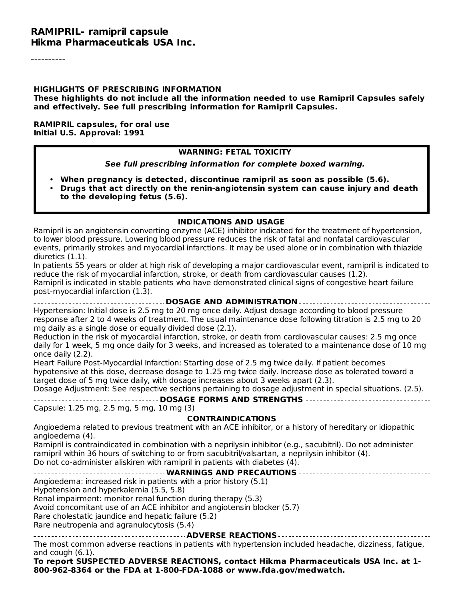#### **RAMIPRIL- ramipril capsule Hikma Pharmaceuticals USA Inc.**

----------

#### **HIGHLIGHTS OF PRESCRIBING INFORMATION**

**These highlights do not include all the information needed to use Ramipril Capsules safely and effectively. See full prescribing information for Ramipril Capsules.**

**RAMIPRIL capsules, for oral use Initial U.S. Approval: 1991**

#### **WARNING: FETAL TOXICITY**

**See full prescribing information for complete boxed warning.**

- **When pregnancy is detected, discontinue ramipril as soon as possible (5.6).**
- **Drugs that act directly on the renin-angiotensin system can cause injury and death to the developing fetus (5.6).**

**INDICATIONS AND USAGE**

Ramipril is an angiotensin converting enzyme (ACE) inhibitor indicated for the treatment of hypertension, to lower blood pressure. Lowering blood pressure reduces the risk of fatal and nonfatal cardiovascular events, primarily strokes and myocardial infarctions. It may be used alone or in combination with thiazide diuretics (1.1).

In patients 55 years or older at high risk of developing a major cardiovascular event, ramipril is indicated to reduce the risk of myocardial infarction, stroke, or death from cardiovascular causes (1.2). Ramipril is indicated in stable patients who have demonstrated clinical signs of congestive heart failure post-myocardial infarction (1.3).

**DOSAGE AND ADMINISTRATION** Hypertension: Initial dose is 2.5 mg to 20 mg once daily. Adjust dosage according to blood pressure response after 2 to 4 weeks of treatment. The usual maintenance dose following titration is 2.5 mg to 20 mg daily as a single dose or equally divided dose (2.1).

Reduction in the risk of myocardial infarction, stroke, or death from cardiovascular causes: 2.5 mg once daily for 1 week, 5 mg once daily for 3 weeks, and increased as tolerated to a maintenance dose of 10 mg once daily (2.2).

Heart Failure Post-Myocardial Infarction: Starting dose of 2.5 mg twice daily. If patient becomes hypotensive at this dose, decrease dosage to 1.25 mg twice daily. Increase dose as tolerated toward a target dose of 5 mg twice daily, with dosage increases about 3 weeks apart (2.3).

Dosage Adjustment: See respective sections pertaining to dosage adjustment in special situations. (2.5).

**DOSAGE FORMS AND STRENGTHS** Capsule: 1.25 mg, 2.5 mg, 5 mg, 10 mg (3)

**CONTRAINDICATIONS** Angioedema related to previous treatment with an ACE inhibitor, or a history of hereditary or idiopathic

angioedema (4).

Ramipril is contraindicated in combination with a neprilysin inhibitor (e.g., sacubitril). Do not administer ramipril within 36 hours of switching to or from sacubitril/valsartan, a neprilysin inhibitor (4). Do not co-administer aliskiren with ramipril in patients with diabetes (4).

# **WARNINGS AND PRECAUTIONS**

Angioedema: increased risk in patients with a prior history (5.1)

Hypotension and hyperkalemia (5.5, 5.8)

Renal impairment: monitor renal function during therapy (5.3)

Avoid concomitant use of an ACE inhibitor and angiotensin blocker (5.7)

Rare cholestatic jaundice and hepatic failure (5.2)

Rare neutropenia and agranulocytosis (5.4)

**ADVERSE REACTIONS**

The most common adverse reactions in patients with hypertension included headache, dizziness, fatigue, and cough (6.1).

**To report SUSPECTED ADVERSE REACTIONS, contact Hikma Pharmaceuticals USA Inc. at 1- 800-962-8364 or the FDA at 1-800-FDA-1088 or www.fda.gov/medwatch.**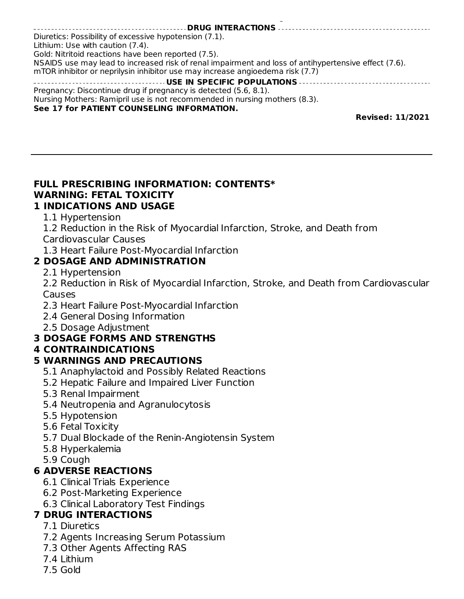#### **800-962-8364 or the FDA at 1-800-FDA-1088 or www.fda.gov/medwatch. DRUG INTERACTIONS** Diuretics: Possibility of excessive hypotension (7.1). Lithium: Use with caution (7.4). Gold: Nitritoid reactions have been reported (7.5). NSAIDS use may lead to increased risk of renal impairment and loss of antihypertensive effect (7.6). mTOR inhibitor or neprilysin inhibitor use may increase angioedema risk (7.7) **USE IN SPECIFIC POPULATIONS** Pregnancy: Discontinue drug if pregnancy is detected (5.6, 8.1). Nursing Mothers: Ramipril use is not recommended in nursing mothers (8.3). **See 17 for PATIENT COUNSELING INFORMATION. Revised: 11/2021**

# **FULL PRESCRIBING INFORMATION: CONTENTS\* WARNING: FETAL TOXICITY**

## **1 INDICATIONS AND USAGE**

- 1.1 Hypertension
- 1.2 Reduction in the Risk of Myocardial Infarction, Stroke, and Death from

Cardiovascular Causes

1.3 Heart Failure Post-Myocardial Infarction

## **2 DOSAGE AND ADMINISTRATION**

2.1 Hypertension

2.2 Reduction in Risk of Myocardial Infarction, Stroke, and Death from Cardiovascular Causes

- 2.3 Heart Failure Post-Myocardial Infarction
- 2.4 General Dosing Information
- 2.5 Dosage Adjustment

# **3 DOSAGE FORMS AND STRENGTHS**

### **4 CONTRAINDICATIONS**

# **5 WARNINGS AND PRECAUTIONS**

- 5.1 Anaphylactoid and Possibly Related Reactions
- 5.2 Hepatic Failure and Impaired Liver Function
- 5.3 Renal Impairment
- 5.4 Neutropenia and Agranulocytosis
- 5.5 Hypotension
- 5.6 Fetal Toxicity
- 5.7 Dual Blockade of the Renin-Angiotensin System
- 5.8 Hyperkalemia
- 5.9 Cough

# **6 ADVERSE REACTIONS**

- 6.1 Clinical Trials Experience
- 6.2 Post-Marketing Experience
- 6.3 Clinical Laboratory Test Findings

# **7 DRUG INTERACTIONS**

- 7.1 Diuretics
- 7.2 Agents Increasing Serum Potassium
- 7.3 Other Agents Affecting RAS
- 7.4 Lithium
- 7.5 Gold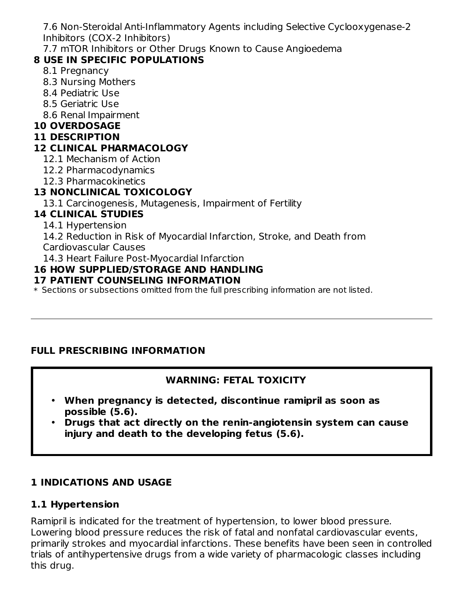7.6 Non-Steroidal Anti-Inflammatory Agents including Selective Cyclooxygenase-2 Inhibitors (COX-2 Inhibitors)

7.7 mTOR Inhibitors or Other Drugs Known to Cause Angioedema

# **8 USE IN SPECIFIC POPULATIONS**

- 8.1 Pregnancy
- 8.3 Nursing Mothers
- 8.4 Pediatric Use
- 8.5 Geriatric Use
- 8.6 Renal Impairment

# **10 OVERDOSAGE**

#### **11 DESCRIPTION**

# **12 CLINICAL PHARMACOLOGY**

- 12.1 Mechanism of Action
- 12.2 Pharmacodynamics
- 12.3 Pharmacokinetics

# **13 NONCLINICAL TOXICOLOGY**

13.1 Carcinogenesis, Mutagenesis, Impairment of Fertility

# **14 CLINICAL STUDIES**

14.1 Hypertension

14.2 Reduction in Risk of Myocardial Infarction, Stroke, and Death from

Cardiovascular Causes

14.3 Heart Failure Post-Myocardial Infarction

## **16 HOW SUPPLIED/STORAGE AND HANDLING**

### **17 PATIENT COUNSELING INFORMATION**

\* Sections or subsections omitted from the full prescribing information are not listed.

# **FULL PRESCRIBING INFORMATION**

# **WARNING: FETAL TOXICITY**

- **When pregnancy is detected, discontinue ramipril as soon as possible (5.6).**
- **Drugs that act directly on the renin-angiotensin system can cause injury and death to the developing fetus (5.6).**

# **1 INDICATIONS AND USAGE**

# **1.1 Hypertension**

Ramipril is indicated for the treatment of hypertension, to lower blood pressure. Lowering blood pressure reduces the risk of fatal and nonfatal cardiovascular events, primarily strokes and myocardial infarctions. These benefits have been seen in controlled trials of antihypertensive drugs from a wide variety of pharmacologic classes including this drug.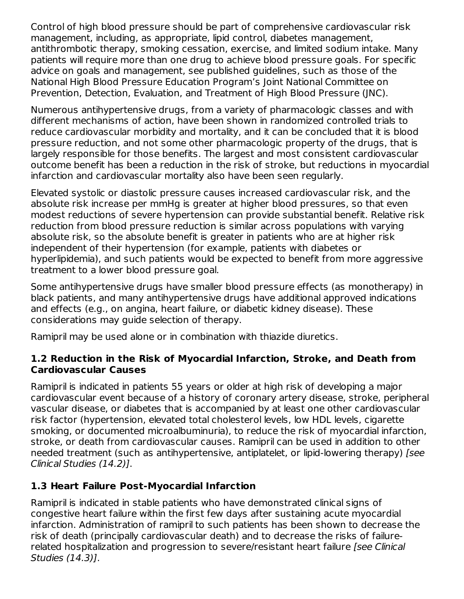Control of high blood pressure should be part of comprehensive cardiovascular risk management, including, as appropriate, lipid control, diabetes management, antithrombotic therapy, smoking cessation, exercise, and limited sodium intake. Many patients will require more than one drug to achieve blood pressure goals. For specific advice on goals and management, see published guidelines, such as those of the National High Blood Pressure Education Program's Joint National Committee on Prevention, Detection, Evaluation, and Treatment of High Blood Pressure (JNC).

Numerous antihypertensive drugs, from a variety of pharmacologic classes and with different mechanisms of action, have been shown in randomized controlled trials to reduce cardiovascular morbidity and mortality, and it can be concluded that it is blood pressure reduction, and not some other pharmacologic property of the drugs, that is largely responsible for those benefits. The largest and most consistent cardiovascular outcome benefit has been a reduction in the risk of stroke, but reductions in myocardial infarction and cardiovascular mortality also have been seen regularly.

Elevated systolic or diastolic pressure causes increased cardiovascular risk, and the absolute risk increase per mmHg is greater at higher blood pressures, so that even modest reductions of severe hypertension can provide substantial benefit. Relative risk reduction from blood pressure reduction is similar across populations with varying absolute risk, so the absolute benefit is greater in patients who are at higher risk independent of their hypertension (for example, patients with diabetes or hyperlipidemia), and such patients would be expected to benefit from more aggressive treatment to a lower blood pressure goal.

Some antihypertensive drugs have smaller blood pressure effects (as monotherapy) in black patients, and many antihypertensive drugs have additional approved indications and effects (e.g., on angina, heart failure, or diabetic kidney disease). These considerations may guide selection of therapy.

Ramipril may be used alone or in combination with thiazide diuretics.

### **1.2 Reduction in the Risk of Myocardial Infarction, Stroke, and Death from Cardiovascular Causes**

Ramipril is indicated in patients 55 years or older at high risk of developing a major cardiovascular event because of a history of coronary artery disease, stroke, peripheral vascular disease, or diabetes that is accompanied by at least one other cardiovascular risk factor (hypertension, elevated total cholesterol levels, low HDL levels, cigarette smoking, or documented microalbuminuria), to reduce the risk of myocardial infarction, stroke, or death from cardiovascular causes. Ramipril can be used in addition to other needed treatment (such as antihypertensive, antiplatelet, or lipid-lowering therapy) [see Clinical Studies (14.2)].

# **1.3 Heart Failure Post-Myocardial Infarction**

Ramipril is indicated in stable patients who have demonstrated clinical signs of congestive heart failure within the first few days after sustaining acute myocardial infarction. Administration of ramipril to such patients has been shown to decrease the risk of death (principally cardiovascular death) and to decrease the risks of failurerelated hospitalization and progression to severe/resistant heart failure [see Clinical] Studies (14.3)].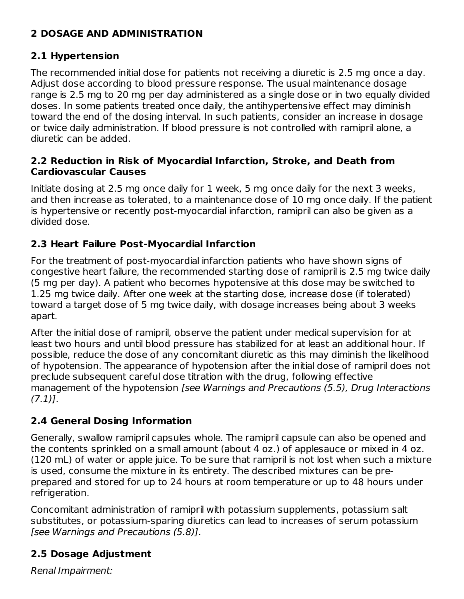## **2 DOSAGE AND ADMINISTRATION**

### **2.1 Hypertension**

The recommended initial dose for patients not receiving a diuretic is 2.5 mg once a day. Adjust dose according to blood pressure response. The usual maintenance dosage range is 2.5 mg to 20 mg per day administered as a single dose or in two equally divided doses. In some patients treated once daily, the antihypertensive effect may diminish toward the end of the dosing interval. In such patients, consider an increase in dosage or twice daily administration. If blood pressure is not controlled with ramipril alone, a diuretic can be added.

#### **2.2 Reduction in Risk of Myocardial Infarction, Stroke, and Death from Cardiovascular Causes**

Initiate dosing at 2.5 mg once daily for 1 week, 5 mg once daily for the next 3 weeks, and then increase as tolerated, to a maintenance dose of 10 mg once daily. If the patient is hypertensive or recently post-myocardial infarction, ramipril can also be given as a divided dose.

## **2.3 Heart Failure Post-Myocardial Infarction**

For the treatment of post-myocardial infarction patients who have shown signs of congestive heart failure, the recommended starting dose of ramipril is 2.5 mg twice daily (5 mg per day). A patient who becomes hypotensive at this dose may be switched to 1.25 mg twice daily. After one week at the starting dose, increase dose (if tolerated) toward a target dose of 5 mg twice daily, with dosage increases being about 3 weeks apart.

After the initial dose of ramipril, observe the patient under medical supervision for at least two hours and until blood pressure has stabilized for at least an additional hour. If possible, reduce the dose of any concomitant diuretic as this may diminish the likelihood of hypotension. The appearance of hypotension after the initial dose of ramipril does not preclude subsequent careful dose titration with the drug, following effective management of the hypotension [see Warnings and Precautions (5.5), Drug Interactions  $(7.1)$ ].

# **2.4 General Dosing Information**

Generally, swallow ramipril capsules whole. The ramipril capsule can also be opened and the contents sprinkled on a small amount (about 4 oz.) of applesauce or mixed in 4 oz. (120 mL) of water or apple juice. To be sure that ramipril is not lost when such a mixture is used, consume the mixture in its entirety. The described mixtures can be preprepared and stored for up to 24 hours at room temperature or up to 48 hours under refrigeration.

Concomitant administration of ramipril with potassium supplements, potassium salt substitutes, or potassium‑sparing diuretics can lead to increases of serum potassium [see Warnings and Precautions (5.8)].

# **2.5 Dosage Adjustment**

Renal Impairment: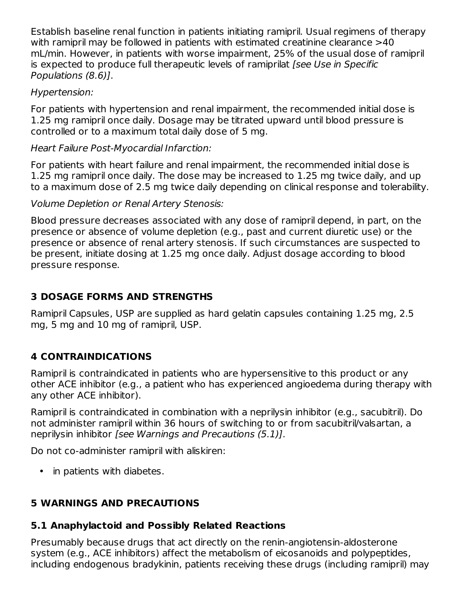Establish baseline renal function in patients initiating ramipril. Usual regimens of therapy with ramipril may be followed in patients with estimated creatinine clearance >40 mL/min. However, in patients with worse impairment, 25% of the usual dose of ramipril is expected to produce full therapeutic levels of ramiprilat [see Use in Specific Populations (8.6)].

### Hypertension:

For patients with hypertension and renal impairment, the recommended initial dose is 1.25 mg ramipril once daily. Dosage may be titrated upward until blood pressure is controlled or to a maximum total daily dose of 5 mg.

Heart Failure Post-Myocardial Infarction:

For patients with heart failure and renal impairment, the recommended initial dose is 1.25 mg ramipril once daily. The dose may be increased to 1.25 mg twice daily, and up to a maximum dose of 2.5 mg twice daily depending on clinical response and tolerability.

Volume Depletion or Renal Artery Stenosis:

Blood pressure decreases associated with any dose of ramipril depend, in part, on the presence or absence of volume depletion (e.g., past and current diuretic use) or the presence or absence of renal artery stenosis. If such circumstances are suspected to be present, initiate dosing at 1.25 mg once daily. Adjust dosage according to blood pressure response.

# **3 DOSAGE FORMS AND STRENGTHS**

Ramipril Capsules, USP are supplied as hard gelatin capsules containing 1.25 mg, 2.5 mg, 5 mg and 10 mg of ramipril, USP.

# **4 CONTRAINDICATIONS**

Ramipril is contraindicated in patients who are hypersensitive to this product or any other ACE inhibitor (e.g., a patient who has experienced angioedema during therapy with any other ACE inhibitor).

Ramipril is contraindicated in combination with a neprilysin inhibitor (e.g., sacubitril). Do not administer ramipril within 36 hours of switching to or from sacubitril/valsartan, a neprilysin inhibitor [see Warnings and Precautions (5.1)].

Do not co-administer ramipril with aliskiren:

• in patients with diabetes.

# **5 WARNINGS AND PRECAUTIONS**

# **5.1 Anaphylactoid and Possibly Related Reactions**

Presumably because drugs that act directly on the renin-angiotensin-aldosterone system (e.g., ACE inhibitors) affect the metabolism of eicosanoids and polypeptides, including endogenous bradykinin, patients receiving these drugs (including ramipril) may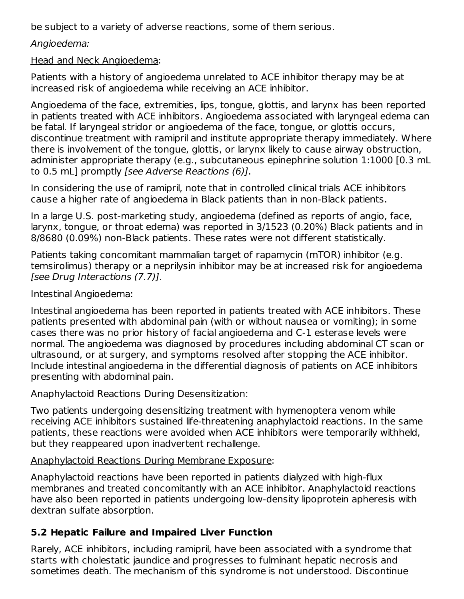be subject to a variety of adverse reactions, some of them serious.

### Angioedema:

#### Head and Neck Angioedema:

Patients with a history of angioedema unrelated to ACE inhibitor therapy may be at increased risk of angioedema while receiving an ACE inhibitor.

Angioedema of the face, extremities, lips, tongue, glottis, and larynx has been reported in patients treated with ACE inhibitors. Angioedema associated with laryngeal edema can be fatal. If laryngeal stridor or angioedema of the face, tongue, or glottis occurs, discontinue treatment with ramipril and institute appropriate therapy immediately. Where there is involvement of the tongue, glottis, or larynx likely to cause airway obstruction, administer appropriate therapy (e.g., subcutaneous epinephrine solution 1:1000 [0.3 mL to 0.5 mL] promptly [see Adverse Reactions (6)].

In considering the use of ramipril, note that in controlled clinical trials ACE inhibitors cause a higher rate of angioedema in Black patients than in non-Black patients.

In a large U.S. post-marketing study, angioedema (defined as reports of angio, face, larynx, tongue, or throat edema) was reported in 3/1523 (0.20%) Black patients and in 8/8680 (0.09%) non-Black patients. These rates were not different statistically.

Patients taking concomitant mammalian target of rapamycin (mTOR) inhibitor (e.g. temsirolimus) therapy or a neprilysin inhibitor may be at increased risk for angioedema [see Drug Interactions (7.7)].

#### Intestinal Angioedema:

Intestinal angioedema has been reported in patients treated with ACE inhibitors. These patients presented with abdominal pain (with or without nausea or vomiting); in some cases there was no prior history of facial angioedema and C‑1 esterase levels were normal. The angioedema was diagnosed by procedures including abdominal CT scan or ultrasound, or at surgery, and symptoms resolved after stopping the ACE inhibitor. Include intestinal angioedema in the differential diagnosis of patients on ACE inhibitors presenting with abdominal pain.

#### Anaphylactoid Reactions During Desensitization:

Two patients undergoing desensitizing treatment with hymenoptera venom while receiving ACE inhibitors sustained life‑threatening anaphylactoid reactions. In the same patients, these reactions were avoided when ACE inhibitors were temporarily withheld, but they reappeared upon inadvertent rechallenge.

#### Anaphylactoid Reactions During Membrane Exposure:

Anaphylactoid reactions have been reported in patients dialyzed with high-flux membranes and treated concomitantly with an ACE inhibitor. Anaphylactoid reactions have also been reported in patients undergoing low‑density lipoprotein apheresis with dextran sulfate absorption.

### **5.2 Hepatic Failure and Impaired Liver Function**

Rarely, ACE inhibitors, including ramipril, have been associated with a syndrome that starts with cholestatic jaundice and progresses to fulminant hepatic necrosis and sometimes death. The mechanism of this syndrome is not understood. Discontinue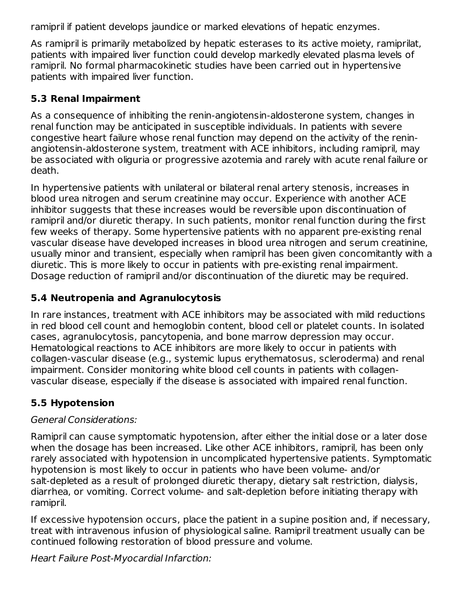ramipril if patient develops jaundice or marked elevations of hepatic enzymes.

As ramipril is primarily metabolized by hepatic esterases to its active moiety, ramiprilat, patients with impaired liver function could develop markedly elevated plasma levels of ramipril. No formal pharmacokinetic studies have been carried out in hypertensive patients with impaired liver function.

## **5.3 Renal Impairment**

As a consequence of inhibiting the renin-angiotensin-aldosterone system, changes in renal function may be anticipated in susceptible individuals. In patients with severe congestive heart failure whose renal function may depend on the activity of the reninangiotensin-aldosterone system, treatment with ACE inhibitors, including ramipril, may be associated with oliguria or progressive azotemia and rarely with acute renal failure or death.

In hypertensive patients with unilateral or bilateral renal artery stenosis, increases in blood urea nitrogen and serum creatinine may occur. Experience with another ACE inhibitor suggests that these increases would be reversible upon discontinuation of ramipril and/or diuretic therapy. In such patients, monitor renal function during the first few weeks of therapy. Some hypertensive patients with no apparent pre-existing renal vascular disease have developed increases in blood urea nitrogen and serum creatinine, usually minor and transient, especially when ramipril has been given concomitantly with a diuretic. This is more likely to occur in patients with pre-existing renal impairment. Dosage reduction of ramipril and/or discontinuation of the diuretic may be required.

## **5.4 Neutropenia and Agranulocytosis**

In rare instances, treatment with ACE inhibitors may be associated with mild reductions in red blood cell count and hemoglobin content, blood cell or platelet counts. In isolated cases, agranulocytosis, pancytopenia, and bone marrow depression may occur. Hematological reactions to ACE inhibitors are more likely to occur in patients with collagen-vascular disease (e.g., systemic lupus erythematosus, scleroderma) and renal impairment. Consider monitoring white blood cell counts in patients with collagenvascular disease, especially if the disease is associated with impaired renal function.

# **5.5 Hypotension**

### General Considerations:

Ramipril can cause symptomatic hypotension, after either the initial dose or a later dose when the dosage has been increased. Like other ACE inhibitors, ramipril, has been only rarely associated with hypotension in uncomplicated hypertensive patients. Symptomatic hypotension is most likely to occur in patients who have been volume‑ and/or salt‑depleted as a result of prolonged diuretic therapy, dietary salt restriction, dialysis, diarrhea, or vomiting. Correct volume- and salt-depletion before initiating therapy with ramipril.

If excessive hypotension occurs, place the patient in a supine position and, if necessary, treat with intravenous infusion of physiological saline. Ramipril treatment usually can be continued following restoration of blood pressure and volume.

Heart Failure Post-Myocardial Infarction: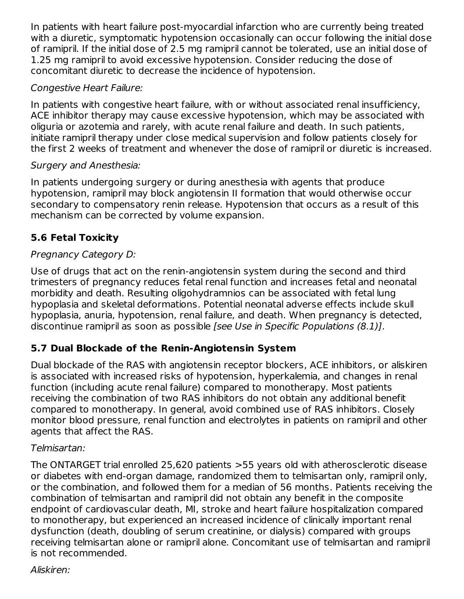In patients with heart failure post-myocardial infarction who are currently being treated with a diuretic, symptomatic hypotension occasionally can occur following the initial dose of ramipril. If the initial dose of 2.5 mg ramipril cannot be tolerated, use an initial dose of 1.25 mg ramipril to avoid excessive hypotension. Consider reducing the dose of concomitant diuretic to decrease the incidence of hypotension.

#### Congestive Heart Failure:

In patients with congestive heart failure, with or without associated renal insufficiency, ACE inhibitor therapy may cause excessive hypotension, which may be associated with oliguria or azotemia and rarely, with acute renal failure and death. In such patients, initiate ramipril therapy under close medical supervision and follow patients closely for the first 2 weeks of treatment and whenever the dose of ramipril or diuretic is increased.

### Surgery and Anesthesia:

In patients undergoing surgery or during anesthesia with agents that produce hypotension, ramipril may block angiotensin II formation that would otherwise occur secondary to compensatory renin release. Hypotension that occurs as a result of this mechanism can be corrected by volume expansion.

# **5.6 Fetal Toxicity**

## Pregnancy Category D:

Use of drugs that act on the renin-angiotensin system during the second and third trimesters of pregnancy reduces fetal renal function and increases fetal and neonatal morbidity and death. Resulting oligohydramnios can be associated with fetal lung hypoplasia and skeletal deformations. Potential neonatal adverse effects include skull hypoplasia, anuria, hypotension, renal failure, and death. When pregnancy is detected, discontinue ramipril as soon as possible [see Use in Specific Populations (8.1)].

# **5.7 Dual Blockade of the Renin-Angiotensin System**

Dual blockade of the RAS with angiotensin receptor blockers, ACE inhibitors, or aliskiren is associated with increased risks of hypotension, hyperkalemia, and changes in renal function (including acute renal failure) compared to monotherapy. Most patients receiving the combination of two RAS inhibitors do not obtain any additional benefit compared to monotherapy. In general, avoid combined use of RAS inhibitors. Closely monitor blood pressure, renal function and electrolytes in patients on ramipril and other agents that affect the RAS.

### Telmisartan:

The ONTARGET trial enrolled 25,620 patients >55 years old with atherosclerotic disease or diabetes with end-organ damage, randomized them to telmisartan only, ramipril only, or the combination, and followed them for a median of 56 months. Patients receiving the combination of telmisartan and ramipril did not obtain any benefit in the composite endpoint of cardiovascular death, MI, stroke and heart failure hospitalization compared to monotherapy, but experienced an increased incidence of clinically important renal dysfunction (death, doubling of serum creatinine, or dialysis) compared with groups receiving telmisartan alone or ramipril alone. Concomitant use of telmisartan and ramipril is not recommended.

Aliskiren: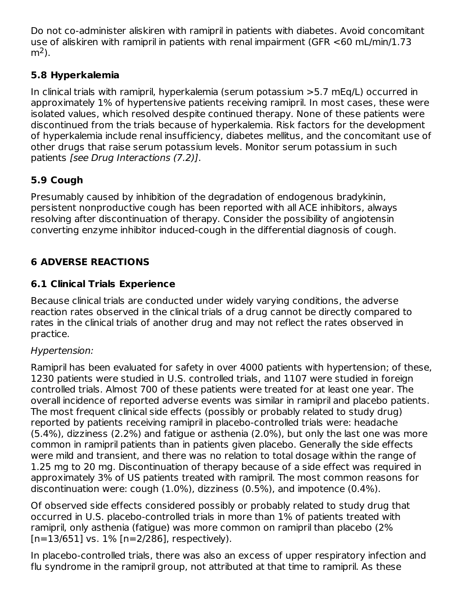Do not co-administer aliskiren with ramipril in patients with diabetes. Avoid concomitant use of aliskiren with ramipril in patients with renal impairment (GFR <60 mL/min/1.73 m<sup>2</sup>).

# **5.8 Hyperkalemia**

In clinical trials with ramipril, hyperkalemia (serum potassium >5.7 mEq/L) occurred in approximately 1% of hypertensive patients receiving ramipril. In most cases, these were isolated values, which resolved despite continued therapy. None of these patients were discontinued from the trials because of hyperkalemia. Risk factors for the development of hyperkalemia include renal insufficiency, diabetes mellitus, and the concomitant use of other drugs that raise serum potassium levels. Monitor serum potassium in such patients [see Drug Interactions (7.2)].

# **5.9 Cough**

Presumably caused by inhibition of the degradation of endogenous bradykinin, persistent nonproductive cough has been reported with all ACE inhibitors, always resolving after discontinuation of therapy. Consider the possibility of angiotensin converting enzyme inhibitor induced-cough in the differential diagnosis of cough.

# **6 ADVERSE REACTIONS**

## **6.1 Clinical Trials Experience**

Because clinical trials are conducted under widely varying conditions, the adverse reaction rates observed in the clinical trials of a drug cannot be directly compared to rates in the clinical trials of another drug and may not reflect the rates observed in practice.

### Hypertension:

Ramipril has been evaluated for safety in over 4000 patients with hypertension; of these, 1230 patients were studied in U.S. controlled trials, and 1107 were studied in foreign controlled trials. Almost 700 of these patients were treated for at least one year. The overall incidence of reported adverse events was similar in ramipril and placebo patients. The most frequent clinical side effects (possibly or probably related to study drug) reported by patients receiving ramipril in placebo‑controlled trials were: headache (5.4%), dizziness (2.2%) and fatigue or asthenia (2.0%), but only the last one was more common in ramipril patients than in patients given placebo. Generally the side effects were mild and transient, and there was no relation to total dosage within the range of 1.25 mg to 20 mg. Discontinuation of therapy because of a side effect was required in approximately 3% of US patients treated with ramipril. The most common reasons for discontinuation were: cough (1.0%), dizziness (0.5%), and impotence (0.4%).

Of observed side effects considered possibly or probably related to study drug that occurred in U.S. placebo‑controlled trials in more than 1% of patients treated with ramipril, only asthenia (fatigue) was more common on ramipril than placebo (2%  $[n=13/651]$  vs.  $1\%$   $[n=2/286]$ , respectively).

In placebo‑controlled trials, there was also an excess of upper respiratory infection and flu syndrome in the ramipril group, not attributed at that time to ramipril. As these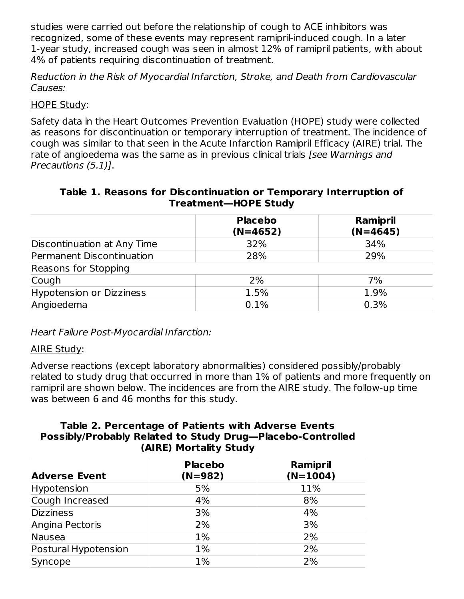studies were carried out before the relationship of cough to ACE inhibitors was recognized, some of these events may represent ramipril‑induced cough. In a later 1‑year study, increased cough was seen in almost 12% of ramipril patients, with about 4% of patients requiring discontinuation of treatment.

Reduction in the Risk of Myocardial Infarction, Stroke, and Death from Cardiovascular Causes:

#### HOPE Study:

Safety data in the Heart Outcomes Prevention Evaluation (HOPE) study were collected as reasons for discontinuation or temporary interruption of treatment. The incidence of cough was similar to that seen in the Acute Infarction Ramipril Efficacy (AIRE) trial. The rate of angioedema was the same as in previous clinical trials [see Warnings and Precautions (5.1)].

#### **Table 1. Reasons for Discontinuation or Temporary Interruption of Treatment―HOPE Study**

|                                 | <b>Placebo</b><br>$(N=4652)$ | Ramipril<br>$(N=4645)$ |
|---------------------------------|------------------------------|------------------------|
| Discontinuation at Any Time     | 32%                          | 34%                    |
| Permanent Discontinuation       | 28%                          | 29%                    |
| Reasons for Stopping            |                              |                        |
| Cough                           | 2%                           | 7%                     |
| <b>Hypotension or Dizziness</b> | 1.5%                         | 1.9%                   |
| Angioedema                      | 0.1%                         | 0.3%                   |

Heart Failure Post-Myocardial Infarction:

#### AIRE Study:

Adverse reactions (except laboratory abnormalities) considered possibly/probably related to study drug that occurred in more than 1% of patients and more frequently on ramipril are shown below. The incidences are from the AIRE study. The follow-up time was between 6 and 46 months for this study.

#### **Table 2. Percentage of Patients with Adverse Events Possibly/Probably Related to Study Drug―Placebo-Controlled (AIRE) Mortality Study**

| <b>Placebo</b><br>$(N=982)$ | Ramipril<br>$(N=1004)$ |
|-----------------------------|------------------------|
| 5%                          | 11%                    |
| 4%                          | 8%                     |
| 3%                          | 4%                     |
| 2%                          | 3%                     |
| 1%                          | 2%                     |
| $1\%$                       | 2%                     |
| 1%                          | 2%                     |
|                             |                        |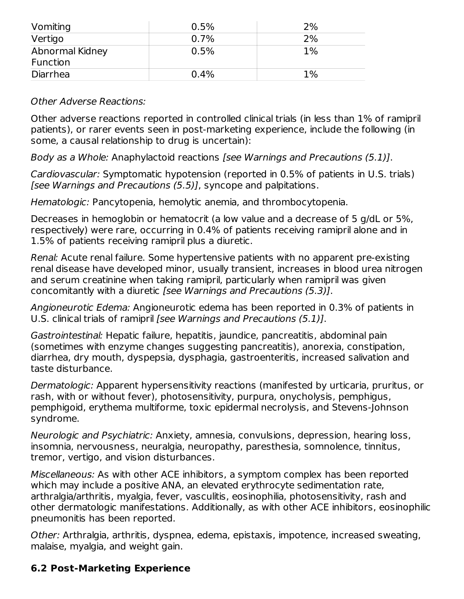| Vomiting                    | 0.5% | 2%    |
|-----------------------------|------|-------|
| Vertigo                     | 0.7% | 2%    |
| Abnormal Kidney<br>Function | 0.5% | $1\%$ |
| Diarrhea                    | 0.4% | 1%    |

#### Other Adverse Reactions:

Other adverse reactions reported in controlled clinical trials (in less than 1% of ramipril patients), or rarer events seen in post-marketing experience, include the following (in some, a causal relationship to drug is uncertain):

Body as a Whole: Anaphylactoid reactions [see Warnings and Precautions (5.1)].

Cardiovascular: Symptomatic hypotension (reported in 0.5% of patients in U.S. trials) [see Warnings and Precautions (5.5)], syncope and palpitations.

Hematologic: Pancytopenia, hemolytic anemia, and thrombocytopenia.

Decreases in hemoglobin or hematocrit (a low value and a decrease of 5 g/dL or 5%, respectively) were rare, occurring in 0.4% of patients receiving ramipril alone and in 1.5% of patients receiving ramipril plus a diuretic.

Renal: Acute renal failure. Some hypertensive patients with no apparent pre-existing renal disease have developed minor, usually transient, increases in blood urea nitrogen and serum creatinine when taking ramipril, particularly when ramipril was given concomitantly with a diuretic [see Warnings and Precautions (5.3)].

Angioneurotic Edema: Angioneurotic edema has been reported in 0.3% of patients in U.S. clinical trials of ramipril [see Warnings and Precautions (5.1)].

Gastrointestinal: Hepatic failure, hepatitis, jaundice, pancreatitis, abdominal pain (sometimes with enzyme changes suggesting pancreatitis), anorexia, constipation, diarrhea, dry mouth, dyspepsia, dysphagia, gastroenteritis, increased salivation and taste disturbance.

Dermatologic: Apparent hypersensitivity reactions (manifested by urticaria, pruritus, or rash, with or without fever), photosensitivity, purpura, onycholysis, pemphigus, pemphigoid, erythema multiforme, toxic epidermal necrolysis, and Stevens‑Johnson syndrome.

Neurologic and Psychiatric: Anxiety, amnesia, convulsions, depression, hearing loss, insomnia, nervousness, neuralgia, neuropathy, paresthesia, somnolence, tinnitus, tremor, vertigo, and vision disturbances.

Miscellaneous: As with other ACE inhibitors, a symptom complex has been reported which may include a positive ANA, an elevated erythrocyte sedimentation rate, arthralgia/arthritis, myalgia, fever, vasculitis, eosinophilia, photosensitivity, rash and other dermatologic manifestations. Additionally, as with other ACE inhibitors, eosinophilic pneumonitis has been reported.

Other: Arthralgia, arthritis, dyspnea, edema, epistaxis, impotence, increased sweating, malaise, myalgia, and weight gain.

### **6.2 Post-Marketing Experience**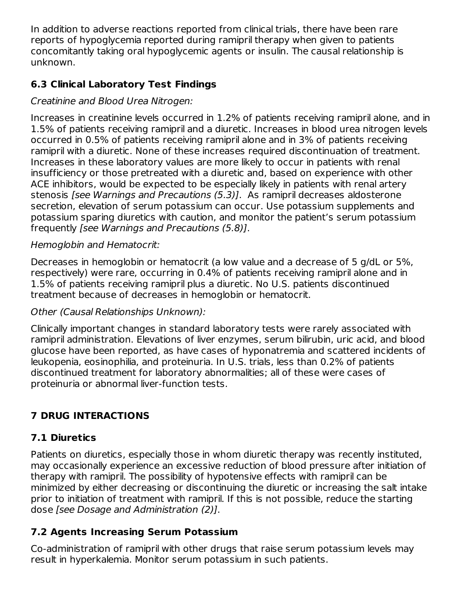In addition to adverse reactions reported from clinical trials, there have been rare reports of hypoglycemia reported during ramipril therapy when given to patients concomitantly taking oral hypoglycemic agents or insulin. The causal relationship is unknown.

# **6.3 Clinical Laboratory Test Findings**

## Creatinine and Blood Urea Nitrogen:

Increases in creatinine levels occurred in 1.2% of patients receiving ramipril alone, and in 1.5% of patients receiving ramipril and a diuretic. Increases in blood urea nitrogen levels occurred in 0.5% of patients receiving ramipril alone and in 3% of patients receiving ramipril with a diuretic. None of these increases required discontinuation of treatment. Increases in these laboratory values are more likely to occur in patients with renal insufficiency or those pretreated with a diuretic and, based on experience with other ACE inhibitors, would be expected to be especially likely in patients with renal artery stenosis [see Warnings and Precautions (5.3)]. As ramipril decreases aldosterone secretion, elevation of serum potassium can occur. Use potassium supplements and potassium sparing diuretics with caution, and monitor the patient's serum potassium frequently [see Warnings and Precautions (5.8)].

#### Hemoglobin and Hematocrit:

Decreases in hemoglobin or hematocrit (a low value and a decrease of 5 g/dL or 5%, respectively) were rare, occurring in 0.4% of patients receiving ramipril alone and in 1.5% of patients receiving ramipril plus a diuretic. No U.S. patients discontinued treatment because of decreases in hemoglobin or hematocrit.

#### Other (Causal Relationships Unknown):

Clinically important changes in standard laboratory tests were rarely associated with ramipril administration. Elevations of liver enzymes, serum bilirubin, uric acid, and blood glucose have been reported, as have cases of hyponatremia and scattered incidents of leukopenia, eosinophilia, and proteinuria. In U.S. trials, less than 0.2% of patients discontinued treatment for laboratory abnormalities; all of these were cases of proteinuria or abnormal liver-function tests.

# **7 DRUG INTERACTIONS**

# **7.1 Diuretics**

Patients on diuretics, especially those in whom diuretic therapy was recently instituted, may occasionally experience an excessive reduction of blood pressure after initiation of therapy with ramipril. The possibility of hypotensive effects with ramipril can be minimized by either decreasing or discontinuing the diuretic or increasing the salt intake prior to initiation of treatment with ramipril. If this is not possible, reduce the starting dose [see Dosage and Administration (2)].

# **7.2 Agents Increasing Serum Potassium**

Co-administration of ramipril with other drugs that raise serum potassium levels may result in hyperkalemia. Monitor serum potassium in such patients.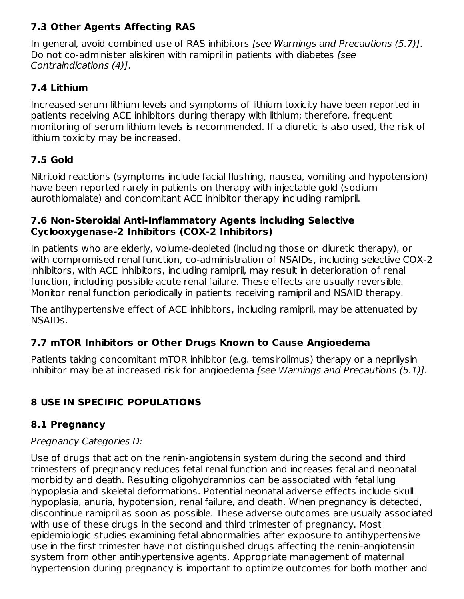# **7.3 Other Agents Affecting RAS**

In general, avoid combined use of RAS inhibitors [see Warnings and Precautions (5.7)]. Do not co-administer aliskiren with ramipril in patients with diabetes [see] Contraindications (4)].

### **7.4 Lithium**

Increased serum lithium levels and symptoms of lithium toxicity have been reported in patients receiving ACE inhibitors during therapy with lithium; therefore, frequent monitoring of serum lithium levels is recommended. If a diuretic is also used, the risk of lithium toxicity may be increased.

## **7.5 Gold**

Nitritoid reactions (symptoms include facial flushing, nausea, vomiting and hypotension) have been reported rarely in patients on therapy with injectable gold (sodium aurothiomalate) and concomitant ACE inhibitor therapy including ramipril.

#### **7.6 Non-Steroidal Anti-Inflammatory Agents including Selective Cyclooxygenase-2 Inhibitors (COX-2 Inhibitors)**

In patients who are elderly, volume-depleted (including those on diuretic therapy), or with compromised renal function, co-administration of NSAIDs, including selective COX-2 inhibitors, with ACE inhibitors, including ramipril, may result in deterioration of renal function, including possible acute renal failure. These effects are usually reversible. Monitor renal function periodically in patients receiving ramipril and NSAID therapy.

The antihypertensive effect of ACE inhibitors, including ramipril, may be attenuated by NSAIDs.

# **7.7 mTOR Inhibitors or Other Drugs Known to Cause Angioedema**

Patients taking concomitant mTOR inhibitor (e.g. temsirolimus) therapy or a neprilysin inhibitor may be at increased risk for angioedema [see Warnings and Precautions (5.1)].

# **8 USE IN SPECIFIC POPULATIONS**

### **8.1 Pregnancy**

### Pregnancy Categories D:

Use of drugs that act on the renin-angiotensin system during the second and third trimesters of pregnancy reduces fetal renal function and increases fetal and neonatal morbidity and death. Resulting oligohydramnios can be associated with fetal lung hypoplasia and skeletal deformations. Potential neonatal adverse effects include skull hypoplasia, anuria, hypotension, renal failure, and death. When pregnancy is detected, discontinue ramipril as soon as possible. These adverse outcomes are usually associated with use of these drugs in the second and third trimester of pregnancy. Most epidemiologic studies examining fetal abnormalities after exposure to antihypertensive use in the first trimester have not distinguished drugs affecting the renin-angiotensin system from other antihypertensive agents. Appropriate management of maternal hypertension during pregnancy is important to optimize outcomes for both mother and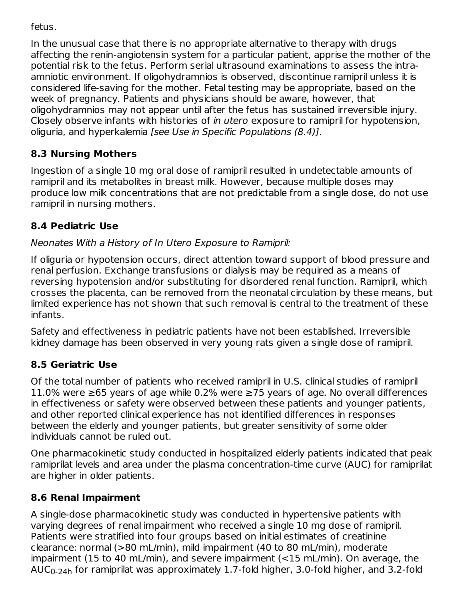fetus.

In the unusual case that there is no appropriate alternative to therapy with drugs affecting the renin-angiotensin system for a particular patient, apprise the mother of the potential risk to the fetus. Perform serial ultrasound examinations to assess the intraamniotic environment. If oligohydramnios is observed, discontinue ramipril unless it is considered life-saving for the mother. Fetal testing may be appropriate, based on the week of pregnancy. Patients and physicians should be aware, however, that oligohydramnios may not appear until after the fetus has sustained irreversible injury. Closely observe infants with histories of in utero exposure to ramipril for hypotension, oliguria, and hyperkalemia [see Use in Specific Populations (8.4)].

# **8.3 Nursing Mothers**

Ingestion of a single 10 mg oral dose of ramipril resulted in undetectable amounts of ramipril and its metabolites in breast milk. However, because multiple doses may produce low milk concentrations that are not predictable from a single dose, do not use ramipril in nursing mothers.

# **8.4 Pediatric Use**

## Neonates With a History of In Utero Exposure to Ramipril:

If oliguria or hypotension occurs, direct attention toward support of blood pressure and renal perfusion. Exchange transfusions or dialysis may be required as a means of reversing hypotension and/or substituting for disordered renal function. Ramipril, which crosses the placenta, can be removed from the neonatal circulation by these means, but limited experience has not shown that such removal is central to the treatment of these infants.

Safety and effectiveness in pediatric patients have not been established. Irreversible kidney damage has been observed in very young rats given a single dose of ramipril.

# **8.5 Geriatric Use**

Of the total number of patients who received ramipril in U.S. clinical studies of ramipril 11.0% were ≥65 years of age while 0.2% were ≥75 years of age. No overall differences in effectiveness or safety were observed between these patients and younger patients, and other reported clinical experience has not identified differences in responses between the elderly and younger patients, but greater sensitivity of some older individuals cannot be ruled out.

One pharmacokinetic study conducted in hospitalized elderly patients indicated that peak ramiprilat levels and area under the plasma concentration-time curve (AUC) for ramiprilat are higher in older patients.

# **8.6 Renal Impairment**

A single-dose pharmacokinetic study was conducted in hypertensive patients with varying degrees of renal impairment who received a single 10 mg dose of ramipril. Patients were stratified into four groups based on initial estimates of creatinine clearance: normal (>80 mL/min), mild impairment (40 to 80 mL/min), moderate impairment (15 to 40 mL/min), and severe impairment (<15 mL/min). On average, the AUC<sub>0-24h</sub> for ramiprilat was approximately 1.7-fold higher, 3.0-fold higher, and 3.2-fold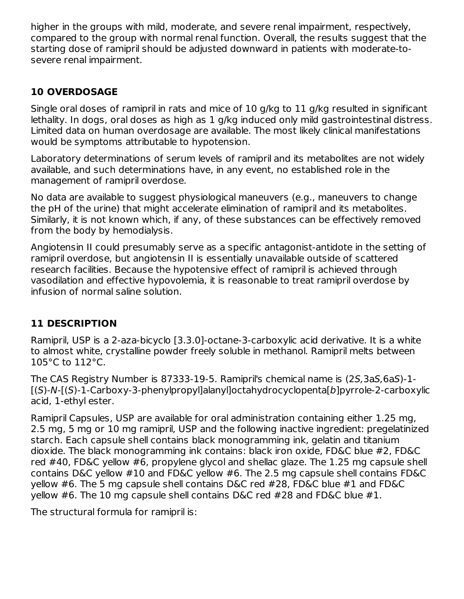higher in the groups with mild, moderate, and severe renal impairment, respectively, compared to the group with normal renal function. Overall, the results suggest that the starting dose of ramipril should be adjusted downward in patients with moderate-tosevere renal impairment.

## **10 OVERDOSAGE**

Single oral doses of ramipril in rats and mice of 10 g/kg to 11 g/kg resulted in significant lethality. In dogs, oral doses as high as 1 g/kg induced only mild gastrointestinal distress. Limited data on human overdosage are available. The most likely clinical manifestations would be symptoms attributable to hypotension.

Laboratory determinations of serum levels of ramipril and its metabolites are not widely available, and such determinations have, in any event, no established role in the management of ramipril overdose.

No data are available to suggest physiological maneuvers (e.g., maneuvers to change the pH of the urine) that might accelerate elimination of ramipril and its metabolites. Similarly, it is not known which, if any, of these substances can be effectively removed from the body by hemodialysis.

Angiotensin II could presumably serve as a specific antagonist‑antidote in the setting of ramipril overdose, but angiotensin II is essentially unavailable outside of scattered research facilities. Because the hypotensive effect of ramipril is achieved through vasodilation and effective hypovolemia, it is reasonable to treat ramipril overdose by infusion of normal saline solution.

# **11 DESCRIPTION**

Ramipril, USP is a 2‑aza‑bicyclo [3.3.0]‑octane‑3‑carboxylic acid derivative. It is a white to almost white, crystalline powder freely soluble in methanol. Ramipril melts between 105°C to 112°C.

The CAS Registry Number is 87333-19-5. Ramipril's chemical name is (2S,3aS,6aS)‑1- [(S)‑N‑[(S)‑1-Carboxy‑3‑phenylpropyl]alanyl]octahydrocyclopenta[b]pyrrole‑2‑carboxylic acid, 1‑ethyl ester.

Ramipril Capsules, USP are available for oral administration containing either 1.25 mg, 2.5 mg, 5 mg or 10 mg ramipril, USP and the following inactive ingredient: pregelatinized starch. Each capsule shell contains black monogramming ink, gelatin and titanium dioxide. The black monogramming ink contains: black iron oxide, FD&C blue #2, FD&C red #40, FD&C yellow #6, propylene glycol and shellac glaze. The 1.25 mg capsule shell contains D&C yellow #10 and FD&C yellow #6. The 2.5 mg capsule shell contains FD&C yellow #6. The 5 mg capsule shell contains D&C red #28, FD&C blue #1 and FD&C yellow #6. The 10 mg capsule shell contains D&C red #28 and FD&C blue #1.

The structural formula for ramipril is: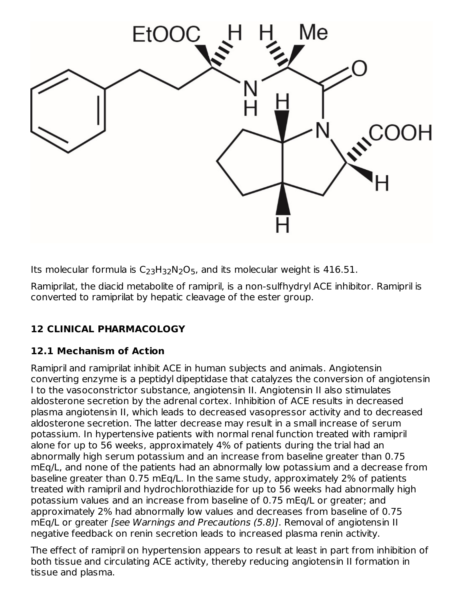

Its molecular formula is  $C_{23}H_{32}N_2O_5$ , and its molecular weight is 416.51.

Ramiprilat, the diacid metabolite of ramipril, is a non‑sulfhydryl ACE inhibitor. Ramipril is converted to ramiprilat by hepatic cleavage of the ester group.

# **12 CLINICAL PHARMACOLOGY**

### **12.1 Mechanism of Action**

Ramipril and ramiprilat inhibit ACE in human subjects and animals. Angiotensin converting enzyme is a peptidyl dipeptidase that catalyzes the conversion of angiotensin I to the vasoconstrictor substance, angiotensin II. Angiotensin II also stimulates aldosterone secretion by the adrenal cortex. Inhibition of ACE results in decreased plasma angiotensin II, which leads to decreased vasopressor activity and to decreased aldosterone secretion. The latter decrease may result in a small increase of serum potassium. In hypertensive patients with normal renal function treated with ramipril alone for up to 56 weeks, approximately 4% of patients during the trial had an abnormally high serum potassium and an increase from baseline greater than 0.75 mEq/L, and none of the patients had an abnormally low potassium and a decrease from baseline greater than 0.75 mEq/L. In the same study, approximately 2% of patients treated with ramipril and hydrochlorothiazide for up to 56 weeks had abnormally high potassium values and an increase from baseline of 0.75 mEq/L or greater; and approximately 2% had abnormally low values and decreases from baseline of 0.75 mEq/L or greater [see Warnings and Precautions (5.8)]. Removal of angiotensin II negative feedback on renin secretion leads to increased plasma renin activity.

The effect of ramipril on hypertension appears to result at least in part from inhibition of both tissue and circulating ACE activity, thereby reducing angiotensin II formation in tissue and plasma.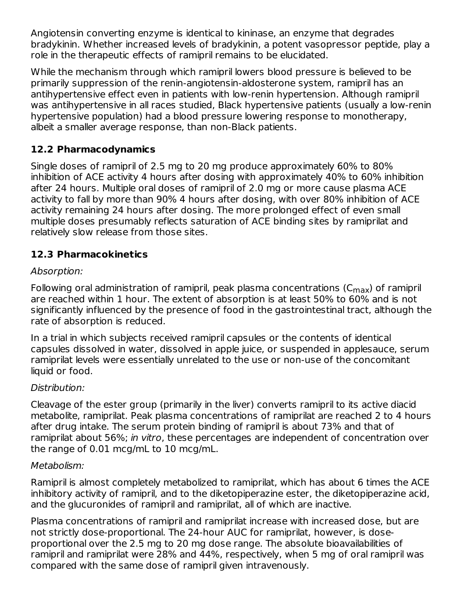Angiotensin converting enzyme is identical to kininase, an enzyme that degrades bradykinin. Whether increased levels of bradykinin, a potent vasopressor peptide, play a role in the therapeutic effects of ramipril remains to be elucidated.

While the mechanism through which ramipril lowers blood pressure is believed to be primarily suppression of the renin‑angiotensin‑aldosterone system, ramipril has an antihypertensive effect even in patients with low‑renin hypertension. Although ramipril was antihypertensive in all races studied, Black hypertensive patients (usually a low-renin hypertensive population) had a blood pressure lowering response to monotherapy, albeit a smaller average response, than non‑Black patients.

## **12.2 Pharmacodynamics**

Single doses of ramipril of 2.5 mg to 20 mg produce approximately 60% to 80% inhibition of ACE activity 4 hours after dosing with approximately 40% to 60% inhibition after 24 hours. Multiple oral doses of ramipril of 2.0 mg or more cause plasma ACE activity to fall by more than 90% 4 hours after dosing, with over 80% inhibition of ACE activity remaining 24 hours after dosing. The more prolonged effect of even small multiple doses presumably reflects saturation of ACE binding sites by ramiprilat and relatively slow release from those sites.

#### **12.3 Pharmacokinetics**

#### Absorption:

Following oral administration of ramipril, peak plasma concentrations (C $_{\sf max}$ ) of ramipril are reached within 1 hour. The extent of absorption is at least 50% to 60% and is not significantly influenced by the presence of food in the gastrointestinal tract, although the rate of absorption is reduced.

In a trial in which subjects received ramipril capsules or the contents of identical capsules dissolved in water, dissolved in apple juice, or suspended in applesauce, serum ramiprilat levels were essentially unrelated to the use or non-use of the concomitant liquid or food.

### Distribution:

Cleavage of the ester group (primarily in the liver) converts ramipril to its active diacid metabolite, ramiprilat. Peak plasma concentrations of ramiprilat are reached 2 to 4 hours after drug intake. The serum protein binding of ramipril is about 73% and that of ramiprilat about 56%; in vitro, these percentages are independent of concentration over the range of 0.01 mcg/mL to 10 mcg/mL.

#### Metabolism:

Ramipril is almost completely metabolized to ramiprilat, which has about 6 times the ACE inhibitory activity of ramipril, and to the diketopiperazine ester, the diketopiperazine acid, and the glucuronides of ramipril and ramiprilat, all of which are inactive.

Plasma concentrations of ramipril and ramiprilat increase with increased dose, but are not strictly dose-proportional. The 24-hour AUC for ramiprilat, however, is doseproportional over the 2.5 mg to 20 mg dose range. The absolute bioavailabilities of ramipril and ramiprilat were 28% and 44%, respectively, when 5 mg of oral ramipril was compared with the same dose of ramipril given intravenously.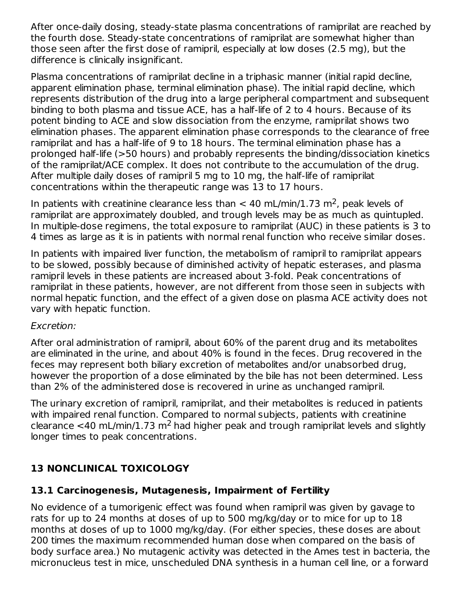After once-daily dosing, steady-state plasma concentrations of ramiprilat are reached by the fourth dose. Steady-state concentrations of ramiprilat are somewhat higher than those seen after the first dose of ramipril, especially at low doses (2.5 mg), but the difference is clinically insignificant.

Plasma concentrations of ramiprilat decline in a triphasic manner (initial rapid decline, apparent elimination phase, terminal elimination phase). The initial rapid decline, which represents distribution of the drug into a large peripheral compartment and subsequent binding to both plasma and tissue ACE, has a half‑life of 2 to 4 hours. Because of its potent binding to ACE and slow dissociation from the enzyme, ramiprilat shows two elimination phases. The apparent elimination phase corresponds to the clearance of free ramiprilat and has a half‑life of 9 to 18 hours. The terminal elimination phase has a prolonged half‑life (>50 hours) and probably represents the binding/dissociation kinetics of the ramiprilat/ACE complex. It does not contribute to the accumulation of the drug. After multiple daily doses of ramipril 5 mg to 10 mg, the half‑life of ramiprilat concentrations within the therapeutic range was 13 to 17 hours.

In patients with creatinine clearance less than  $< 40$  mL/min/1.73 m<sup>2</sup>, peak levels of ramiprilat are approximately doubled, and trough levels may be as much as quintupled. In multiple-dose regimens, the total exposure to ramiprilat (AUC) in these patients is 3 to 4 times as large as it is in patients with normal renal function who receive similar doses.

In patients with impaired liver function, the metabolism of ramipril to ramiprilat appears to be slowed, possibly because of diminished activity of hepatic esterases, and plasma ramipril levels in these patients are increased about 3‑fold. Peak concentrations of ramiprilat in these patients, however, are not different from those seen in subjects with normal hepatic function, and the effect of a given dose on plasma ACE activity does not vary with hepatic function.

#### Excretion:

After oral administration of ramipril, about 60% of the parent drug and its metabolites are eliminated in the urine, and about 40% is found in the feces. Drug recovered in the feces may represent both biliary excretion of metabolites and/or unabsorbed drug, however the proportion of a dose eliminated by the bile has not been determined. Less than 2% of the administered dose is recovered in urine as unchanged ramipril.

The urinary excretion of ramipril, ramiprilat, and their metabolites is reduced in patients with impaired renal function. Compared to normal subjects, patients with creatinine clearance <40 mL/min/1.73 m<sup>2</sup> had higher peak and trough ramiprilat levels and slightly longer times to peak concentrations.

# **13 NONCLINICAL TOXICOLOGY**

### **13.1 Carcinogenesis, Mutagenesis, Impairment of Fertility**

No evidence of a tumorigenic effect was found when ramipril was given by gavage to rats for up to 24 months at doses of up to 500 mg/kg/day or to mice for up to 18 months at doses of up to 1000 mg/kg/day. (For either species, these doses are about 200 times the maximum recommended human dose when compared on the basis of body surface area.) No mutagenic activity was detected in the Ames test in bacteria, the micronucleus test in mice, unscheduled DNA synthesis in a human cell line, or a forward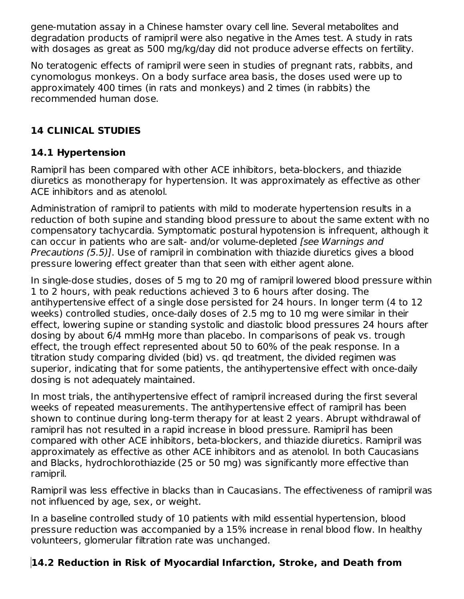gene‑mutation assay in a Chinese hamster ovary cell line. Several metabolites and degradation products of ramipril were also negative in the Ames test. A study in rats with dosages as great as 500 mg/kg/day did not produce adverse effects on fertility.

No teratogenic effects of ramipril were seen in studies of pregnant rats, rabbits, and cynomologus monkeys. On a body surface area basis, the doses used were up to approximately 400 times (in rats and monkeys) and 2 times (in rabbits) the recommended human dose.

# **14 CLINICAL STUDIES**

# **14.1 Hypertension**

Ramipril has been compared with other ACE inhibitors, beta-blockers, and thiazide diuretics as monotherapy for hypertension. It was approximately as effective as other ACE inhibitors and as atenolol.

Administration of ramipril to patients with mild to moderate hypertension results in a reduction of both supine and standing blood pressure to about the same extent with no compensatory tachycardia. Symptomatic postural hypotension is infrequent, although it can occur in patients who are salt- and/or volume-depleted [see Warnings and Precautions (5.5)]. Use of ramipril in combination with thiazide diuretics gives a blood pressure lowering effect greater than that seen with either agent alone.

In single-dose studies, doses of 5 mg to 20 mg of ramipril lowered blood pressure within 1 to 2 hours, with peak reductions achieved 3 to 6 hours after dosing. The antihypertensive effect of a single dose persisted for 24 hours. In longer term (4 to 12 weeks) controlled studies, once-daily doses of 2.5 mg to 10 mg were similar in their effect, lowering supine or standing systolic and diastolic blood pressures 24 hours after dosing by about 6/4 mmHg more than placebo. In comparisons of peak vs. trough effect, the trough effect represented about 50 to 60% of the peak response. In a titration study comparing divided (bid) vs. qd treatment, the divided regimen was superior, indicating that for some patients, the antihypertensive effect with once-daily dosing is not adequately maintained.

In most trials, the antihypertensive effect of ramipril increased during the first several weeks of repeated measurements. The antihypertensive effect of ramipril has been shown to continue during long-term therapy for at least 2 years. Abrupt withdrawal of ramipril has not resulted in a rapid increase in blood pressure. Ramipril has been compared with other ACE inhibitors, beta-blockers, and thiazide diuretics. Ramipril was approximately as effective as other ACE inhibitors and as atenolol. In both Caucasians and Blacks, hydrochlorothiazide (25 or 50 mg) was significantly more effective than ramipril.

Ramipril was less effective in blacks than in Caucasians. The effectiveness of ramipril was not influenced by age, sex, or weight.

In a baseline controlled study of 10 patients with mild essential hypertension, blood pressure reduction was accompanied by a 15% increase in renal blood flow. In healthy volunteers, glomerular filtration rate was unchanged.

# **14.2 Reduction in Risk of Myocardial Infarction, Stroke, and Death from**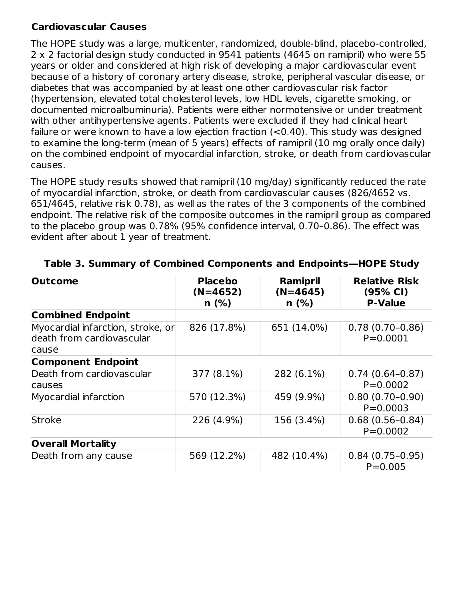## **Cardiovascular Causes**

The HOPE study was a large, multicenter, randomized, double-blind, placebo-controlled, 2 x 2 factorial design study conducted in 9541 patients (4645 on ramipril) who were 55 years or older and considered at high risk of developing a major cardiovascular event because of a history of coronary artery disease, stroke, peripheral vascular disease, or diabetes that was accompanied by at least one other cardiovascular risk factor (hypertension, elevated total cholesterol levels, low HDL levels, cigarette smoking, or documented microalbuminuria). Patients were either normotensive or under treatment with other antihypertensive agents. Patients were excluded if they had clinical heart failure or were known to have a low ejection fraction (<0.40). This study was designed to examine the long-term (mean of 5 years) effects of ramipril (10 mg orally once daily) on the combined endpoint of myocardial infarction, stroke, or death from cardiovascular causes.

The HOPE study results showed that ramipril (10 mg/day) significantly reduced the rate of myocardial infarction, stroke, or death from cardiovascular causes (826/4652 vs. 651/4645, relative risk 0.78), as well as the rates of the 3 components of the combined endpoint. The relative risk of the composite outcomes in the ramipril group as compared to the placebo group was 0.78% (95% confidence interval, 0.70–0.86). The effect was evident after about 1 year of treatment.

| <b>Outcome</b>                                                          | <b>Placebo</b><br>Ramipril<br>$(N=4645)$<br>$(N=4652)$<br>$n$ (%)<br>$n$ (%) |             | <b>Relative Risk</b><br>(95% CI)<br><b>P-Value</b> |
|-------------------------------------------------------------------------|------------------------------------------------------------------------------|-------------|----------------------------------------------------|
| <b>Combined Endpoint</b>                                                |                                                                              |             |                                                    |
| Myocardial infarction, stroke, or<br>death from cardiovascular<br>cause | 826 (17.8%)                                                                  | 651 (14.0%) | $0.78(0.70-0.86)$<br>$P = 0.0001$                  |
| <b>Component Endpoint</b>                                               |                                                                              |             |                                                    |
| Death from cardiovascular<br>causes                                     | 377 (8.1%)                                                                   | 282 (6.1%)  | $0.74(0.64-0.87)$<br>$P = 0.0002$                  |
| Myocardial infarction                                                   | 570 (12.3%)                                                                  | 459 (9.9%)  | $0.80(0.70-0.90)$<br>$P = 0.0003$                  |
| <b>Stroke</b>                                                           | 226 (4.9%)                                                                   | 156 (3.4%)  | $0.68(0.56-0.84)$<br>$P = 0.0002$                  |
| <b>Overall Mortality</b>                                                |                                                                              |             |                                                    |
| Death from any cause                                                    | 569 (12.2%)                                                                  | 482 (10.4%) | $0.84(0.75-0.95)$<br>$P = 0.005$                   |

**Table 3. Summary of Combined Components and Endpoints―HOPE Study**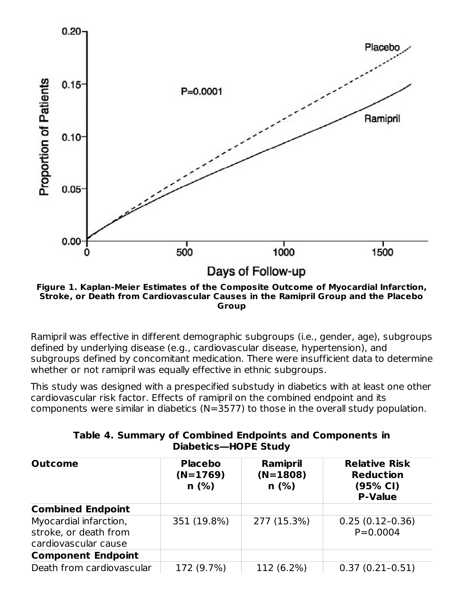

**Figure 1. Kaplan-Meier Estimates of the Composite Outcome of Myocardial Infarction, Stroke, or Death from Cardiovascular Causes in the Ramipril Group and the Placebo Group**

Ramipril was effective in different demographic subgroups (i.e., gender, age), subgroups defined by underlying disease (e.g., cardiovascular disease, hypertension), and subgroups defined by concomitant medication. There were insufficient data to determine whether or not ramipril was equally effective in ethnic subgroups.

This study was designed with a prespecified substudy in diabetics with at least one other cardiovascular risk factor. Effects of ramipril on the combined endpoint and its components were similar in diabetics (N=3577) to those in the overall study population.

| <b>Outcome</b>                                                          | <b>Placebo</b><br>$(N=1769)$<br>n(%) | Ramipril<br>$(N=1808)$<br>n(%) | <b>Relative Risk</b><br><b>Reduction</b><br>(95% CI)<br><b>P-Value</b> |
|-------------------------------------------------------------------------|--------------------------------------|--------------------------------|------------------------------------------------------------------------|
| <b>Combined Endpoint</b>                                                |                                      |                                |                                                                        |
| Myocardial infarction,<br>stroke, or death from<br>cardiovascular cause | 351 (19.8%)                          | 277 (15.3%)                    | $0.25(0.12-0.36)$<br>$P = 0.0004$                                      |
| <b>Component Endpoint</b>                                               |                                      |                                |                                                                        |
| Death from cardiovascular                                               | 172 (9.7%)                           | 112 (6.2%)                     | $0.37(0.21-0.51)$                                                      |

|  |                      | Table 4. Summary of Combined Endpoints and Components in |
|--|----------------------|----------------------------------------------------------|
|  | Diabetics-HOPE Study |                                                          |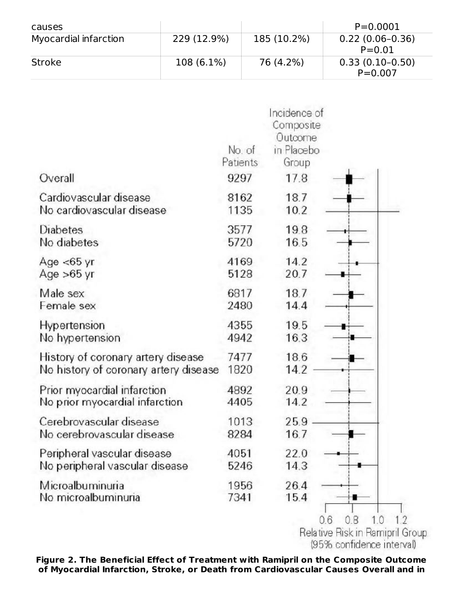| causes                |             |             | $P = 0.0001$                     |
|-----------------------|-------------|-------------|----------------------------------|
| Myocardial infarction | 229 (12.9%) | 185 (10.2%) | $0.22(0.06-0.36)$<br>$P = 0.01$  |
| Stroke                | 108 (6.1%)  | 76 (4.2%)   | $0.33(0.10-0.50)$<br>$P = 0.007$ |

| Overall                               | No. of<br>Patients<br>9297 | Incidence of<br>Composite<br>Outcome<br>in Placebo<br>Group<br>17.8 |  |
|---------------------------------------|----------------------------|---------------------------------------------------------------------|--|
| Cardiovascular disease                | 8162                       | 18.7                                                                |  |
| No cardiovascular disease             | 1135                       | 10.2                                                                |  |
| Diabetes                              | 3577                       | 19.8                                                                |  |
| No diabetes                           | 5720                       | 16.5                                                                |  |
| Age $<$ 65 yr                         | 4169                       | 14.2                                                                |  |
| Age $>65$ yr                          | 5128                       | 20.7                                                                |  |
| Male sex                              | 6817                       | 18.7                                                                |  |
| Female sex                            | 2480                       | 14.4                                                                |  |
| Hypertension                          | 4355                       | 19.5                                                                |  |
| No hypertension                       | 4942                       | 16.3                                                                |  |
| History of coronary artery disease    | 7477                       | 18.6                                                                |  |
| No history of coronary artery disease | 1820                       | 14.2                                                                |  |
| Prior myocardial infarction           | 4892                       | 20.9                                                                |  |
| No prior myocardial infarction        | 4405                       | 14.2                                                                |  |
| Cerebrovascular disease               | 1013                       | 25.9                                                                |  |
| No cerebrovascular disease            | 8284                       | 16.7                                                                |  |
| Peripheral vascular disease           | 4051                       | 22.0                                                                |  |
| No peripheral vascular disease        | 5246                       | 14.3                                                                |  |
| Microalbuminuria                      | 1956                       | 26.4                                                                |  |
| No microalbuminuria                   | 7341                       | 15.4                                                                |  |

Relative Risk in Ramipril Group<br>(95% confidence interval)

**Figure 2. The Beneficial Effect of Treatment with Ramipril on the Composite Outcome of Myocardial Infarction, Stroke, or Death from Cardiovascular Causes Overall and in**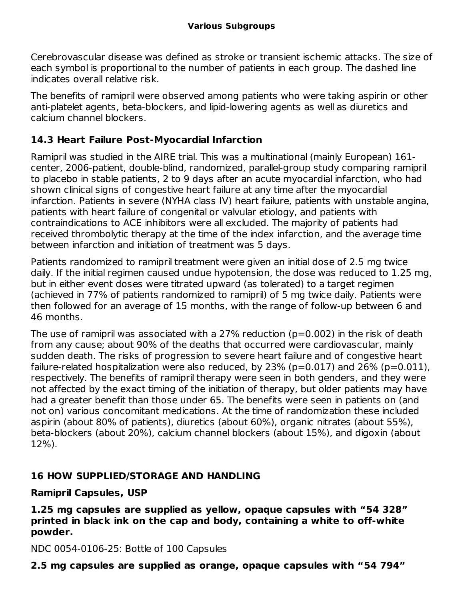Cerebrovascular disease was defined as stroke or transient ischemic attacks. The size of each symbol is proportional to the number of patients in each group. The dashed line indicates overall relative risk.

The benefits of ramipril were observed among patients who were taking aspirin or other anti-platelet agents, beta-blockers, and lipid-lowering agents as well as diuretics and calcium channel blockers.

### **14.3 Heart Failure Post-Myocardial Infarction**

Ramipril was studied in the AIRE trial. This was a multinational (mainly European) 161 center, 2006-patient, double-blind, randomized, parallel-group study comparing ramipril to placebo in stable patients, 2 to 9 days after an acute myocardial infarction, who had shown clinical signs of congestive heart failure at any time after the myocardial infarction. Patients in severe (NYHA class IV) heart failure, patients with unstable angina, patients with heart failure of congenital or valvular etiology, and patients with contraindications to ACE inhibitors were all excluded. The majority of patients had received thrombolytic therapy at the time of the index infarction, and the average time between infarction and initiation of treatment was 5 days.

Patients randomized to ramipril treatment were given an initial dose of 2.5 mg twice daily. If the initial regimen caused undue hypotension, the dose was reduced to 1.25 mg, but in either event doses were titrated upward (as tolerated) to a target regimen (achieved in 77% of patients randomized to ramipril) of 5 mg twice daily. Patients were then followed for an average of 15 months, with the range of follow-up between 6 and 46 months.

The use of ramipril was associated with a 27% reduction (p=0.002) in the risk of death from any cause; about 90% of the deaths that occurred were cardiovascular, mainly sudden death. The risks of progression to severe heart failure and of congestive heart failure-related hospitalization were also reduced, by  $23\%$  (p=0.017) and  $26\%$  (p=0.011), respectively. The benefits of ramipril therapy were seen in both genders, and they were not affected by the exact timing of the initiation of therapy, but older patients may have had a greater benefit than those under 65. The benefits were seen in patients on (and not on) various concomitant medications. At the time of randomization these included aspirin (about 80% of patients), diuretics (about 60%), organic nitrates (about 55%), beta-blockers (about 20%), calcium channel blockers (about 15%), and digoxin (about 12%).

### **16 HOW SUPPLIED/STORAGE AND HANDLING**

#### **Ramipril Capsules, USP**

**1.25 mg capsules are supplied as yellow, opaque capsules with "54 328" printed in black ink on the cap and body, containing a white to off-white powder.**

NDC 0054-0106-25: Bottle of 100 Capsules

**2.5 mg capsules are supplied as orange, opaque capsules with "54 794"**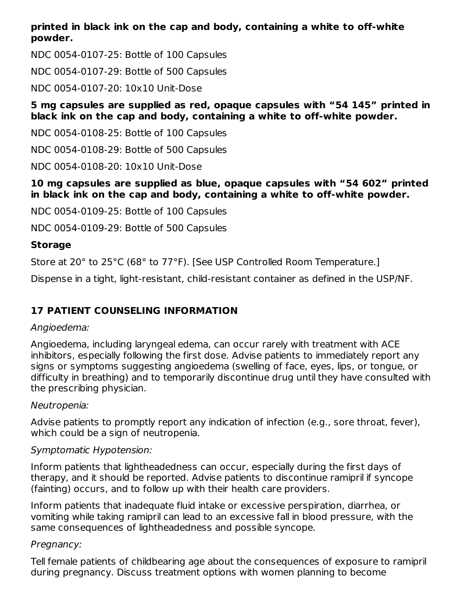#### **printed in black ink on the cap and body, containing a white to off-white powder.**

NDC 0054-0107-25: Bottle of 100 Capsules

NDC 0054-0107-29: Bottle of 500 Capsules

NDC 0054-0107-20: 10x10 Unit-Dose

#### **5 mg capsules are supplied as red, opaque capsules with "54 145" printed in black ink on the cap and body, containing a white to off-white powder.**

NDC 0054-0108-25: Bottle of 100 Capsules

NDC 0054-0108-29: Bottle of 500 Capsules

NDC 0054-0108-20: 10x10 Unit-Dose

#### **10 mg capsules are supplied as blue, opaque capsules with "54 602" printed in black ink on the cap and body, containing a white to off-white powder.**

NDC 0054-0109-25: Bottle of 100 Capsules

NDC 0054-0109-29: Bottle of 500 Capsules

# **Storage**

Store at 20° to 25°C (68° to 77°F). [See USP Controlled Room Temperature.]

Dispense in a tight, light-resistant, child-resistant container as defined in the USP/NF.

# **17 PATIENT COUNSELING INFORMATION**

### Angioedema:

Angioedema, including laryngeal edema, can occur rarely with treatment with ACE inhibitors, especially following the first dose. Advise patients to immediately report any signs or symptoms suggesting angioedema (swelling of face, eyes, lips, or tongue, or difficulty in breathing) and to temporarily discontinue drug until they have consulted with the prescribing physician.

### Neutropenia:

Advise patients to promptly report any indication of infection (e.g., sore throat, fever), which could be a sign of neutropenia.

### Symptomatic Hypotension:

Inform patients that lightheadedness can occur, especially during the first days of therapy, and it should be reported. Advise patients to discontinue ramipril if syncope (fainting) occurs, and to follow up with their health care providers.

Inform patients that inadequate fluid intake or excessive perspiration, diarrhea, or vomiting while taking ramipril can lead to an excessive fall in blood pressure, with the same consequences of lightheadedness and possible syncope.

### Pregnancy:

Tell female patients of childbearing age about the consequences of exposure to ramipril during pregnancy. Discuss treatment options with women planning to become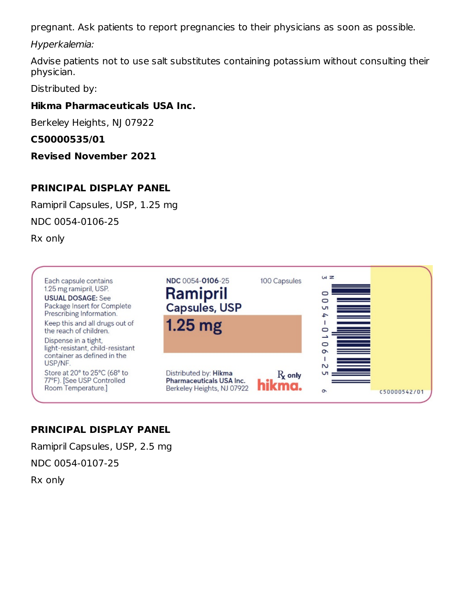pregnant. Ask patients to report pregnancies to their physicians as soon as possible.

Hyperkalemia:

Advise patients not to use salt substitutes containing potassium without consulting their physician.

Distributed by:

## **Hikma Pharmaceuticals USA Inc.**

Berkeley Heights, NJ 07922

## **C50000535/01**

**Revised November 2021**

# **PRINCIPAL DISPLAY PANEL**

Ramipril Capsules, USP, 1.25 mg

NDC 0054-0106-25

Rx only



# **PRINCIPAL DISPLAY PANEL**

Ramipril Capsules, USP, 2.5 mg NDC 0054-0107-25

Rx only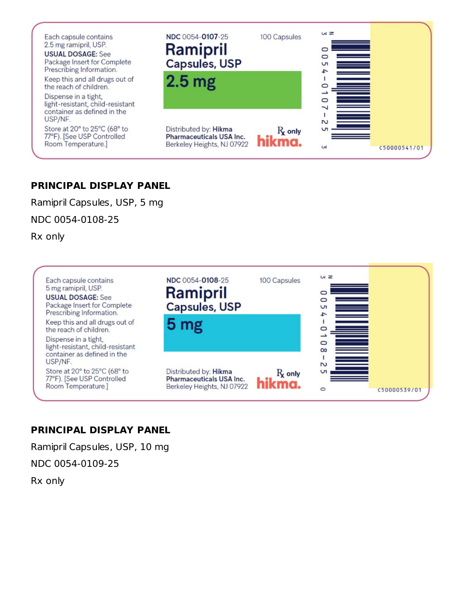

### **PRINCIPAL DISPLAY PANEL**

Ramipril Capsules, USP, 5 mg

NDC 0054-0108-25

Rx only



#### **PRINCIPAL DISPLAY PANEL**

Ramipril Capsules, USP, 10 mg

NDC 0054-0109-25

Rx only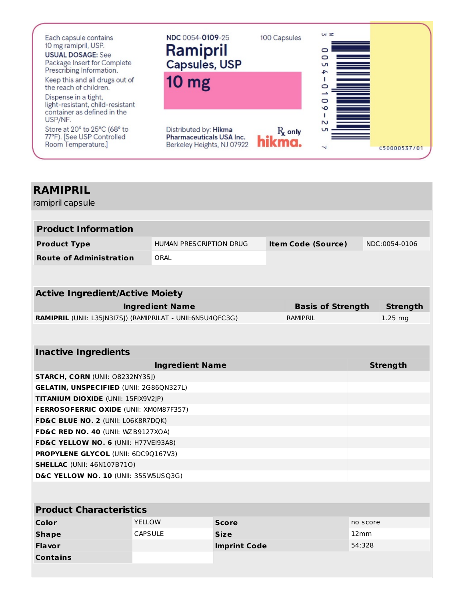

| <b>RAMIPRIL</b><br>ramipril capsule                        |                        |                         |                           |          |                 |
|------------------------------------------------------------|------------------------|-------------------------|---------------------------|----------|-----------------|
|                                                            |                        |                         |                           |          |                 |
| <b>Product Information</b>                                 |                        |                         |                           |          |                 |
| <b>Product Type</b>                                        |                        | HUMAN PRESCRIPTION DRUG | <b>Item Code (Source)</b> |          | NDC:0054-0106   |
| <b>Route of Administration</b>                             | ORAL                   |                         |                           |          |                 |
|                                                            |                        |                         |                           |          |                 |
| <b>Active Ingredient/Active Moiety</b>                     |                        |                         |                           |          |                 |
|                                                            | <b>Ingredient Name</b> |                         | <b>Basis of Strength</b>  |          | <b>Strength</b> |
| RAMIPRIL (UNII: L35JN3I7SJ) (RAMIPRILAT - UNII:6N5U4QFC3G) |                        |                         | <b>RAMIPRIL</b>           |          | $1.25$ mg       |
|                                                            |                        |                         |                           |          |                 |
|                                                            |                        |                         |                           |          |                 |
| <b>Inactive Ingredients</b>                                |                        |                         |                           |          |                 |
|                                                            |                        | <b>Ingredient Name</b>  |                           |          | <b>Strength</b> |
| <b>STARCH, CORN (UNII: O8232NY3SJ)</b>                     |                        |                         |                           |          |                 |
| <b>GELATIN, UNSPECIFIED (UNII: 2G86QN327L)</b>             |                        |                         |                           |          |                 |
| TITANIUM DIOXIDE (UNII: 15FIX9V2JP)                        |                        |                         |                           |          |                 |
| <b>FERROSOFERRIC OXIDE (UNII: XM0M87F357)</b>              |                        |                         |                           |          |                 |
| FD&C BLUE NO. 2 (UNII: L06K8R7DQK)                         |                        |                         |                           |          |                 |
| FD&C RED NO. 40 (UNII: WZB9127XOA)                         |                        |                         |                           |          |                 |
| FD&C YELLOW NO. 6 (UNII: H77VEI93A8)                       |                        |                         |                           |          |                 |
| PROPYLENE GLYCOL (UNII: 6DC9Q167V3)                        |                        |                         |                           |          |                 |
| <b>SHELLAC (UNII: 46N107B710)</b>                          |                        |                         |                           |          |                 |
| D&C YELLOW NO. 10 (UNII: 35SW5USQ3G)                       |                        |                         |                           |          |                 |
|                                                            |                        |                         |                           |          |                 |
| <b>Product Characteristics</b>                             |                        |                         |                           |          |                 |
| Color                                                      | <b>YELLOW</b>          | <b>Score</b>            |                           | no score |                 |
|                                                            | $CADCHH$ $F$           | $\sim$ : $-$            |                           | 1.24     |                 |

| Color           | <b>YELLOW</b>  | <b>Score</b>        | no score |
|-----------------|----------------|---------------------|----------|
| <b>Shape</b>    | <b>CAPSULE</b> | <b>Size</b>         | 12mm     |
| <b>Flavor</b>   |                | <b>Imprint Code</b> | 54;328   |
| <b>Contains</b> |                |                     |          |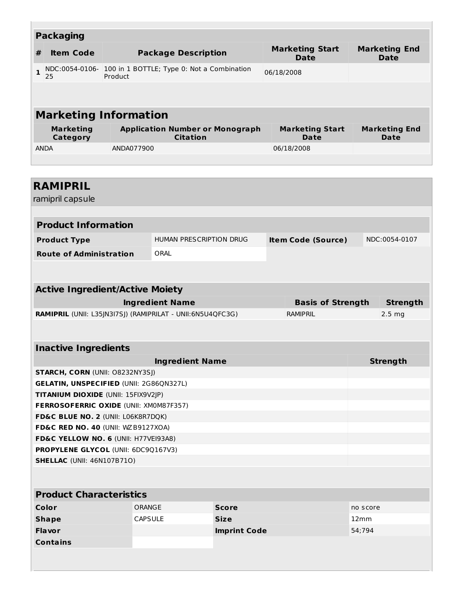|              | <b>Packaging</b>             |                                                           |                                       |                              |
|--------------|------------------------------|-----------------------------------------------------------|---------------------------------------|------------------------------|
| #            | <b>Item Code</b>             | <b>Package Description</b>                                | <b>Marketing Start</b><br><b>Date</b> | <b>Marketing End</b><br>Date |
| $\mathbf{1}$ | NDC:0054-0106-<br>25         | 100 in 1 BOTTLE; Type 0: Not a Combination<br>Product     | 06/18/2008                            |                              |
|              |                              |                                                           |                                       |                              |
|              |                              | <b>Marketing Information</b>                              |                                       |                              |
|              | <b>Marketing</b><br>Category | <b>Application Number or Monograph</b><br><b>Citation</b> | <b>Marketing Start</b><br><b>Date</b> | <b>Marketing End</b><br>Date |
| <b>ANDA</b>  |                              | ANDA077900                                                | 06/18/2008                            |                              |
|              |                              |                                                           |                                       |                              |

| <b>RAMIPRIL</b>                                                          |                        |                         |                           |          |                  |
|--------------------------------------------------------------------------|------------------------|-------------------------|---------------------------|----------|------------------|
| ramipril capsule                                                         |                        |                         |                           |          |                  |
|                                                                          |                        |                         |                           |          |                  |
| <b>Product Information</b>                                               |                        |                         |                           |          |                  |
| <b>Product Type</b>                                                      |                        | HUMAN PRESCRIPTION DRUG | <b>Item Code (Source)</b> |          | NDC:0054-0107    |
| <b>Route of Administration</b>                                           | ORAL                   |                         |                           |          |                  |
|                                                                          |                        |                         |                           |          |                  |
|                                                                          |                        |                         |                           |          |                  |
| <b>Active Ingredient/Active Moiety</b>                                   |                        |                         |                           |          |                  |
|                                                                          | <b>Ingredient Name</b> |                         | <b>Basis of Strength</b>  |          | <b>Strength</b>  |
| RAMIPRIL (UNII: L35JN3I7SJ) (RAMIPRILAT - UNII:6N5U4QFC3G)               |                        |                         | <b>RAMIPRIL</b>           |          | $2.5 \text{ mg}$ |
|                                                                          |                        |                         |                           |          |                  |
|                                                                          |                        |                         |                           |          |                  |
| <b>Inactive Ingredients</b>                                              |                        |                         |                           |          |                  |
|                                                                          |                        | <b>Ingredient Name</b>  |                           |          | <b>Strength</b>  |
| STARCH, CORN (UNII: O8232NY3SJ)                                          |                        |                         |                           |          |                  |
| GELATIN, UNSPECIFIED (UNII: 2G86QN327L)                                  |                        |                         |                           |          |                  |
| TITANIUM DIOXIDE (UNII: 15FIX9V2JP)                                      |                        |                         |                           |          |                  |
| FERROSOFERRIC OXIDE (UNII: XM0M87F357)                                   |                        |                         |                           |          |                  |
| FD&C BLUE NO. 2 (UNII: L06K8R7DQK)<br>FD&C RED NO. 40 (UNII: WZB9127XOA) |                        |                         |                           |          |                  |
| FD&C YELLOW NO. 6 (UNII: H77VEI93A8)                                     |                        |                         |                           |          |                  |
| PROPYLENE GLYCOL (UNII: 6DC9Q167V3)                                      |                        |                         |                           |          |                  |
| <b>SHELLAC</b> (UNII: 46N107B71O)                                        |                        |                         |                           |          |                  |
|                                                                          |                        |                         |                           |          |                  |
|                                                                          |                        |                         |                           |          |                  |
| <b>Product Characteristics</b>                                           |                        |                         |                           |          |                  |
| Color                                                                    | ORANGE                 | <b>Score</b>            |                           | no score |                  |
| <b>Shape</b>                                                             | <b>CAPSULE</b>         | <b>Size</b>             |                           | 12mm     |                  |
| <b>Flavor</b>                                                            |                        | <b>Imprint Code</b>     |                           | 54;794   |                  |
| <b>Contains</b>                                                          |                        |                         |                           |          |                  |
|                                                                          |                        |                         |                           |          |                  |
|                                                                          |                        |                         |                           |          |                  |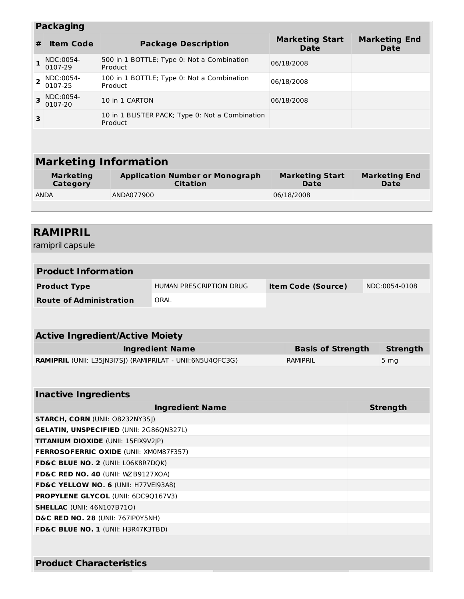|                           | <b>Packaging</b>             |                                                            |                                       |                                     |  |  |  |
|---------------------------|------------------------------|------------------------------------------------------------|---------------------------------------|-------------------------------------|--|--|--|
| #                         | <b>Item Code</b>             | <b>Package Description</b>                                 | <b>Marketing Start</b><br><b>Date</b> | <b>Marketing End</b><br><b>Date</b> |  |  |  |
| 1                         | NDC:0054-<br>0107-29         | 500 in 1 BOTTLE; Type 0: Not a Combination<br>Product      | 06/18/2008                            |                                     |  |  |  |
| $\overline{2}$            | NDC:0054-<br>0107-25         | 100 in 1 BOTTLE; Type 0: Not a Combination<br>Product      | 06/18/2008                            |                                     |  |  |  |
| $\overline{\mathbf{z}}$   | NDC:0054-<br>0107-20         | 10 in 1 CARTON                                             | 06/18/2008                            |                                     |  |  |  |
| 3                         |                              | 10 in 1 BLISTER PACK; Type 0: Not a Combination<br>Product |                                       |                                     |  |  |  |
|                           |                              |                                                            |                                       |                                     |  |  |  |
|                           | <b>Marketing Information</b> |                                                            |                                       |                                     |  |  |  |
|                           | <b>Marketing</b><br>Category | <b>Application Number or Monograph</b><br><b>Citation</b>  | <b>Marketing Start</b><br>Date        | <b>Marketing End</b><br>Date        |  |  |  |
| ANDA077900<br><b>ANDA</b> |                              |                                                            | 06/18/2008                            |                                     |  |  |  |
|                           |                              |                                                            |                                       |                                     |  |  |  |
|                           |                              |                                                            |                                       |                                     |  |  |  |

# **RAMIPRIL** ramipril capsule **Product Information Product Type** HUMAN PRESCRIPTION DRUG **Item Code (Source)** NDC:0054-0108 **Route of Administration** ORAL **Active Ingredient/Active Moiety Ingredient Name Basis of Strength Strength RAMIPRIL** (UNII: L35JN3I7SJ) (RAMIPRILAT - UNII:6N5U4QFC3G) RAMIPRIL RAMIPRIL **Inactive Ingredients Ingredient Name Strength STARCH, CORN** (UNII: O8232NY3SJ) **GELATIN, UNSPECIFIED** (UNII: 2G86QN327L) **TITANIUM DIOXIDE** (UNII: 15FIX9V2JP) **FERROSOFERRIC OXIDE** (UNII: XM0M87F357) **FD&C BLUE NO. 2** (UNII: L06K8R7DQK) **FD&C RED NO. 40** (UNII: WZB9127XOA) **FD&C YELLOW NO. 6** (UNII: H77VEI93A8) **PROPYLENE GLYCOL** (UNII: 6DC9Q167V3) **SHELLAC** (UNII: 46N107B71O) **D&C RED NO. 28** (UNII: 767IP0Y5NH) **FD&C BLUE NO. 1** (UNII: H3R47K3TBD) **Product Characteristics**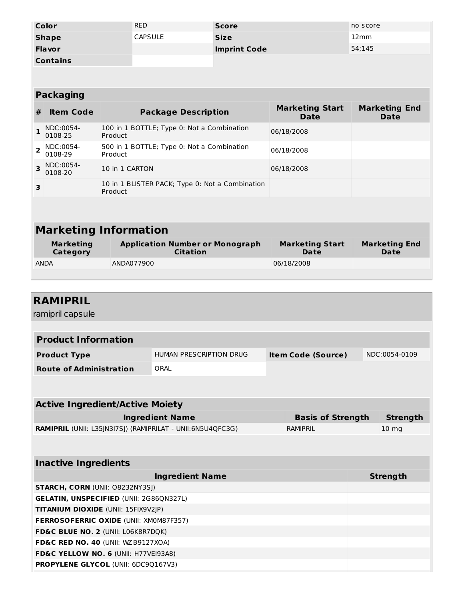| Color           | <b>RED</b>     | <b>Score</b>        | no score |
|-----------------|----------------|---------------------|----------|
| <b>Shape</b>    | <b>CAPSULE</b> | <b>Size</b>         | 12mm     |
| <b>Flavor</b>   |                | <b>Imprint Code</b> | 54:145   |
| <b>Contains</b> |                |                     |          |

| <b>Packaging</b>        |                              |                                                            |                                |                              |  |  |
|-------------------------|------------------------------|------------------------------------------------------------|--------------------------------|------------------------------|--|--|
| #                       | <b>Item Code</b>             | <b>Package Description</b>                                 | <b>Marketing Start</b><br>Date | <b>Marketing End</b><br>Date |  |  |
|                         | NDC:0054-<br>0108-25         | 100 in 1 BOTTLE; Type 0: Not a Combination<br>Product      | 06/18/2008                     |                              |  |  |
| $\overline{2}$          | NDC:0054-<br>0108-29         | 500 in 1 BOTTLE; Type 0: Not a Combination<br>Product      | 06/18/2008                     |                              |  |  |
| $\overline{\mathbf{3}}$ | NDC:0054-<br>0108-20         | 10 in 1 CARTON                                             | 06/18/2008                     |                              |  |  |
| 3                       |                              | 10 in 1 BLISTER PACK; Type 0: Not a Combination<br>Product |                                |                              |  |  |
|                         |                              |                                                            |                                |                              |  |  |
|                         |                              |                                                            |                                |                              |  |  |
|                         | <b>Marketing Information</b> |                                                            |                                |                              |  |  |

| <b>Marketing</b> | <b>Application Number or Monograph</b> | <b>Marketing Start</b> | <b>Marketing End</b> |
|------------------|----------------------------------------|------------------------|----------------------|
| Category         | <b>Citation</b>                        | Date                   | <b>Date</b>          |
| <b>ANDA</b>      | ANDA077900                             | 06/18/2008             |                      |

| <b>RAMIPRIL</b>                                            |                           |                          |               |                  |  |  |
|------------------------------------------------------------|---------------------------|--------------------------|---------------|------------------|--|--|
| ramipril capsule                                           |                           |                          |               |                  |  |  |
|                                                            |                           |                          |               |                  |  |  |
| <b>Product Information</b>                                 |                           |                          |               |                  |  |  |
| <b>Product Type</b>                                        | <b>Item Code (Source)</b> |                          | NDC:0054-0109 |                  |  |  |
| <b>Route of Administration</b>                             | ORAL                      |                          |               |                  |  |  |
|                                                            |                           |                          |               |                  |  |  |
|                                                            |                           |                          |               |                  |  |  |
| <b>Active Ingredient/Active Moiety</b>                     |                           |                          |               |                  |  |  |
|                                                            | <b>Ingredient Name</b>    | <b>Basis of Strength</b> |               | <b>Strength</b>  |  |  |
| RAMIPRIL (UNII: L35JN3I7SJ) (RAMIPRILAT - UNII:6N5U4QFC3G) |                           | RAMIPRIL                 |               | 10 <sub>mg</sub> |  |  |
|                                                            |                           |                          |               |                  |  |  |
|                                                            |                           |                          |               |                  |  |  |
| <b>Inactive Ingredients</b>                                |                           |                          |               |                  |  |  |
|                                                            | <b>Ingredient Name</b>    |                          |               | <b>Strength</b>  |  |  |
| <b>STARCH, CORN (UNII: 08232NY3SJ)</b>                     |                           |                          |               |                  |  |  |
| <b>GELATIN, UNSPECIFIED (UNII: 2G86QN327L)</b>             |                           |                          |               |                  |  |  |
| TITANIUM DIOXIDE (UNII: 15FIX9V2JP)                        |                           |                          |               |                  |  |  |
| <b>FERROSOFERRIC OXIDE (UNII: XM0M87F357)</b>              |                           |                          |               |                  |  |  |
| FD&C BLUE NO. 2 (UNII: L06K8R7DQK)                         |                           |                          |               |                  |  |  |
| FD&C RED NO. 40 (UNII: WZB9127XOA)                         |                           |                          |               |                  |  |  |
| FD&C YELLOW NO. 6 (UNII: H77VEI93A8)                       |                           |                          |               |                  |  |  |
| <b>PROPYLENE GLYCOL (UNII: 6DC9Q167V3)</b>                 |                           |                          |               |                  |  |  |